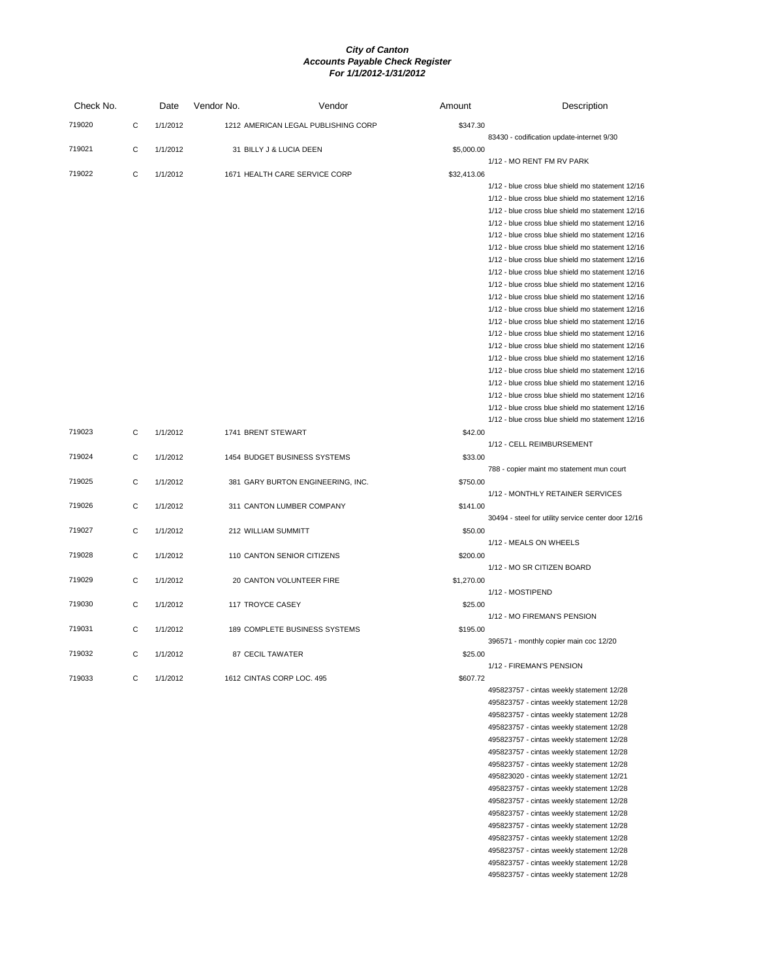| Check No. |   | Date     | Vendor No.                    | Vendor                               | Amount      | Description                                                                                          |
|-----------|---|----------|-------------------------------|--------------------------------------|-------------|------------------------------------------------------------------------------------------------------|
| 719020    | C | 1/1/2012 |                               | 1212 AMERICAN LEGAL PUBLISHING CORP  | \$347.30    |                                                                                                      |
| 719021    | С | 1/1/2012 | 31 BILLY J & LUCIA DEEN       |                                      | \$5,000.00  | 83430 - codification update-internet 9/30                                                            |
|           |   |          |                               |                                      |             | 1/12 - MO RENT FM RV PARK                                                                            |
| 719022    | C | 1/1/2012 | 1671 HEALTH CARE SERVICE CORP |                                      | \$32,413.06 |                                                                                                      |
|           |   |          |                               |                                      |             | 1/12 - blue cross blue shield mo statement 12/16                                                     |
|           |   |          |                               |                                      |             | 1/12 - blue cross blue shield mo statement 12/16                                                     |
|           |   |          |                               |                                      |             | 1/12 - blue cross blue shield mo statement 12/16                                                     |
|           |   |          |                               |                                      |             | 1/12 - blue cross blue shield mo statement 12/16                                                     |
|           |   |          |                               |                                      |             | 1/12 - blue cross blue shield mo statement 12/16                                                     |
|           |   |          |                               |                                      |             | 1/12 - blue cross blue shield mo statement 12/16<br>1/12 - blue cross blue shield mo statement 12/16 |
|           |   |          |                               |                                      |             | 1/12 - blue cross blue shield mo statement 12/16                                                     |
|           |   |          |                               |                                      |             | 1/12 - blue cross blue shield mo statement 12/16                                                     |
|           |   |          |                               |                                      |             | 1/12 - blue cross blue shield mo statement 12/16                                                     |
|           |   |          |                               |                                      |             | 1/12 - blue cross blue shield mo statement 12/16                                                     |
|           |   |          |                               |                                      |             | 1/12 - blue cross blue shield mo statement 12/16                                                     |
|           |   |          |                               |                                      |             | 1/12 - blue cross blue shield mo statement 12/16                                                     |
|           |   |          |                               |                                      |             | 1/12 - blue cross blue shield mo statement 12/16                                                     |
|           |   |          |                               |                                      |             | 1/12 - blue cross blue shield mo statement 12/16                                                     |
|           |   |          |                               |                                      |             | 1/12 - blue cross blue shield mo statement 12/16                                                     |
|           |   |          |                               |                                      |             | 1/12 - blue cross blue shield mo statement 12/16                                                     |
|           |   |          |                               |                                      |             | 1/12 - blue cross blue shield mo statement 12/16                                                     |
|           |   |          |                               |                                      |             | 1/12 - blue cross blue shield mo statement 12/16<br>1/12 - blue cross blue shield mo statement 12/16 |
| 719023    | С | 1/1/2012 | 1741 BRENT STEWART            |                                      | \$42.00     |                                                                                                      |
|           |   |          |                               |                                      |             | 1/12 - CELL REIMBURSEMENT                                                                            |
| 719024    | C | 1/1/2012 | 1454 BUDGET BUSINESS SYSTEMS  |                                      | \$33.00     |                                                                                                      |
|           |   |          |                               |                                      |             | 788 - copier maint mo statement mun court                                                            |
| 719025    | C | 1/1/2012 |                               | 381 GARY BURTON ENGINEERING, INC.    | \$750.00    |                                                                                                      |
|           |   |          |                               |                                      |             | 1/12 - MONTHLY RETAINER SERVICES                                                                     |
| 719026    | C | 1/1/2012 | 311 CANTON LUMBER COMPANY     |                                      | \$141.00    |                                                                                                      |
|           |   |          |                               |                                      |             | 30494 - steel for utility service center door 12/16                                                  |
| 719027    | С | 1/1/2012 | 212 WILLIAM SUMMITT           |                                      | \$50.00     | 1/12 - MEALS ON WHEELS                                                                               |
| 719028    | C | 1/1/2012 | 110 CANTON SENIOR CITIZENS    |                                      | \$200.00    |                                                                                                      |
|           |   |          |                               |                                      |             | 1/12 - MO SR CITIZEN BOARD                                                                           |
| 719029    | C | 1/1/2012 | 20 CANTON VOLUNTEER FIRE      |                                      | \$1,270.00  |                                                                                                      |
|           |   |          |                               |                                      |             | 1/12 - MOSTIPEND                                                                                     |
| 719030    | С | 1/1/2012 | 117 TROYCE CASEY              |                                      | \$25.00     |                                                                                                      |
|           |   |          |                               |                                      |             | 1/12 - MO FIREMAN'S PENSION                                                                          |
| 719031    | C | 1/1/2012 |                               | <b>189 COMPLETE BUSINESS SYSTEMS</b> | \$195.00    |                                                                                                      |
|           |   |          |                               |                                      |             | 396571 - monthly copier main coc 12/20                                                               |
| 719032    | C | 1/1/2012 | 87 CECIL TAWATER              |                                      | \$25.00     |                                                                                                      |
|           |   |          |                               |                                      |             | 1/12 - FIREMAN'S PENSION                                                                             |
| 719033    | C | 1/1/2012 | 1612 CINTAS CORP LOC. 495     |                                      | \$607.72    | 495823757 - cintas weekly statement 12/28                                                            |
|           |   |          |                               |                                      |             | 495823757 - cintas weekly statement 12/28                                                            |
|           |   |          |                               |                                      |             | 495823757 - cintas weekly statement 12/28                                                            |
|           |   |          |                               |                                      |             | 495823757 - cintas weekly statement 12/28                                                            |
|           |   |          |                               |                                      |             | 495823757 - cintas weekly statement 12/28                                                            |
|           |   |          |                               |                                      |             | 495823757 - cintas weekly statement 12/28                                                            |
|           |   |          |                               |                                      |             | 495823757 - cintas weekly statement 12/28                                                            |
|           |   |          |                               |                                      |             | 495823020 - cintas weekly statement 12/21                                                            |
|           |   |          |                               |                                      |             | 495823757 - cintas weekly statement 12/28                                                            |
|           |   |          |                               |                                      |             | 495823757 - cintas weekly statement 12/28                                                            |
|           |   |          |                               |                                      |             | 495823757 - cintas weekly statement 12/28                                                            |
|           |   |          |                               |                                      |             | 495823757 - cintas weekly statement 12/28                                                            |
|           |   |          |                               |                                      |             | 495823757 - cintas weekly statement 12/28                                                            |

495823757 - cintas weekly statement 12/28 495823757 - cintas weekly statement 12/28 495823757 - cintas weekly statement 12/28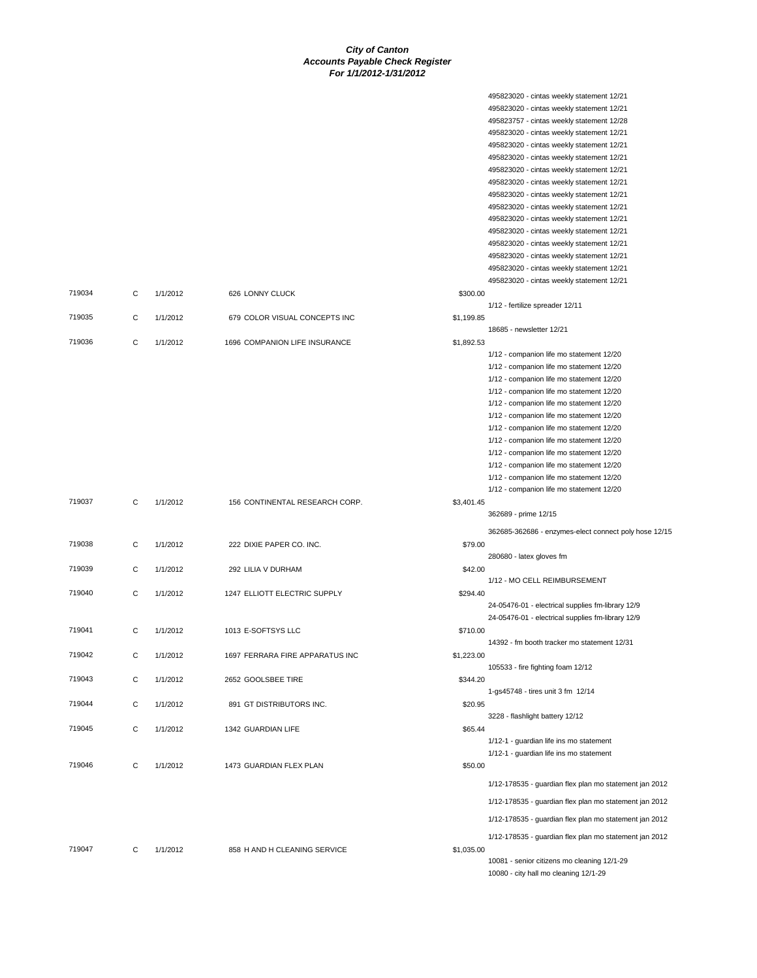495823020 - cintas weekly statement 12/21

|        |   |          |                                 |            | 495823020 - cintas weekly statement 12/21                                            |
|--------|---|----------|---------------------------------|------------|--------------------------------------------------------------------------------------|
|        |   |          |                                 |            | 495823757 - cintas weekly statement 12/28                                            |
|        |   |          |                                 |            | 495823020 - cintas weekly statement 12/21                                            |
|        |   |          |                                 |            | 495823020 - cintas weekly statement 12/21                                            |
|        |   |          |                                 |            | 495823020 - cintas weekly statement 12/21                                            |
|        |   |          |                                 |            | 495823020 - cintas weekly statement 12/21                                            |
|        |   |          |                                 |            | 495823020 - cintas weekly statement 12/21                                            |
|        |   |          |                                 |            | 495823020 - cintas weekly statement 12/21                                            |
|        |   |          |                                 |            | 495823020 - cintas weekly statement 12/21                                            |
|        |   |          |                                 |            | 495823020 - cintas weekly statement 12/21                                            |
|        |   |          |                                 |            | 495823020 - cintas weekly statement 12/21                                            |
|        |   |          |                                 |            | 495823020 - cintas weekly statement 12/21                                            |
|        |   |          |                                 |            | 495823020 - cintas weekly statement 12/21                                            |
|        |   |          |                                 |            | 495823020 - cintas weekly statement 12/21                                            |
|        |   |          |                                 |            | 495823020 - cintas weekly statement 12/21                                            |
| 719034 | С | 1/1/2012 | 626 LONNY CLUCK                 | \$300.00   |                                                                                      |
|        |   |          |                                 |            | 1/12 - fertilize spreader 12/11                                                      |
| 719035 | C | 1/1/2012 | 679 COLOR VISUAL CONCEPTS INC   | \$1,199.85 |                                                                                      |
|        |   |          |                                 |            | 18685 - newsletter 12/21                                                             |
| 719036 | C | 1/1/2012 | 1696 COMPANION LIFE INSURANCE   | \$1,892.53 |                                                                                      |
|        |   |          |                                 |            | 1/12 - companion life mo statement 12/20                                             |
|        |   |          |                                 |            | 1/12 - companion life mo statement 12/20                                             |
|        |   |          |                                 |            | 1/12 - companion life mo statement 12/20                                             |
|        |   |          |                                 |            | 1/12 - companion life mo statement 12/20                                             |
|        |   |          |                                 |            | 1/12 - companion life mo statement 12/20                                             |
|        |   |          |                                 |            | 1/12 - companion life mo statement 12/20                                             |
|        |   |          |                                 |            | 1/12 - companion life mo statement 12/20                                             |
|        |   |          |                                 |            | 1/12 - companion life mo statement 12/20                                             |
|        |   |          |                                 |            | 1/12 - companion life mo statement 12/20                                             |
|        |   |          |                                 |            | 1/12 - companion life mo statement 12/20                                             |
|        |   |          |                                 |            | 1/12 - companion life mo statement 12/20                                             |
|        |   |          |                                 |            |                                                                                      |
|        |   |          |                                 |            |                                                                                      |
| 719037 | C | 1/1/2012 | 156 CONTINENTAL RESEARCH CORP.  |            | 1/12 - companion life mo statement 12/20                                             |
|        |   |          |                                 | \$3,401.45 |                                                                                      |
|        |   |          |                                 |            | 362689 - prime 12/15                                                                 |
|        |   |          |                                 |            | 362685-362686 - enzymes-elect connect poly hose 12/15                                |
| 719038 | C | 1/1/2012 | 222 DIXIE PAPER CO. INC.        | \$79.00    |                                                                                      |
|        |   |          |                                 |            | 280680 - latex gloves fm                                                             |
| 719039 | C | 1/1/2012 | 292 LILIA V DURHAM              | \$42.00    |                                                                                      |
|        |   |          |                                 |            | 1/12 - MO CELL REIMBURSEMENT                                                         |
| 719040 | C | 1/1/2012 | 1247 ELLIOTT ELECTRIC SUPPLY    | \$294.40   |                                                                                      |
|        |   |          |                                 |            | 24-05476-01 - electrical supplies fm-library 12/9                                    |
|        |   |          |                                 |            | 24-05476-01 - electrical supplies fm-library 12/9                                    |
| 719041 | C | 1/1/2012 | 1013 E-SOFTSYS LLC              | \$710.00   |                                                                                      |
|        |   |          |                                 |            | 14392 - fm booth tracker mo statement 12/31                                          |
| 719042 |   | 1/1/2012 | 1697 FERRARA FIRE APPARATUS INC | \$1,223.00 |                                                                                      |
|        |   |          |                                 |            | 105533 - fire fighting foam 12/12                                                    |
| 719043 | C | 1/1/2012 | 2652 GOOLSBEE TIRE              | \$344.20   |                                                                                      |
|        |   |          |                                 |            | 1-gs45748 - tires unit 3 fm 12/14                                                    |
| 719044 | C | 1/1/2012 | 891 GT DISTRIBUTORS INC.        | \$20.95    |                                                                                      |
|        |   |          |                                 |            | 3228 - flashlight battery 12/12                                                      |
| 719045 | C | 1/1/2012 | 1342 GUARDIAN LIFE              | \$65.44    |                                                                                      |
|        |   |          |                                 |            | 1/12-1 - guardian life ins mo statement                                              |
|        |   |          |                                 |            | 1/12-1 - guardian life ins mo statement                                              |
| 719046 | C | 1/1/2012 | 1473 GUARDIAN FLEX PLAN         | \$50.00    |                                                                                      |
|        |   |          |                                 |            |                                                                                      |
|        |   |          |                                 |            | 1/12-178535 - guardian flex plan mo statement jan 2012                               |
|        |   |          |                                 |            | 1/12-178535 - guardian flex plan mo statement jan 2012                               |
|        |   |          |                                 |            | 1/12-178535 - guardian flex plan mo statement jan 2012                               |
|        |   |          |                                 |            |                                                                                      |
|        |   |          |                                 |            | 1/12-178535 - guardian flex plan mo statement jan 2012                               |
| 719047 | С | 1/1/2012 | 858 H AND H CLEANING SERVICE    | \$1,035.00 |                                                                                      |
|        |   |          |                                 |            | 10081 - senior citizens mo cleaning 12/1-29<br>10080 - city hall mo cleaning 12/1-29 |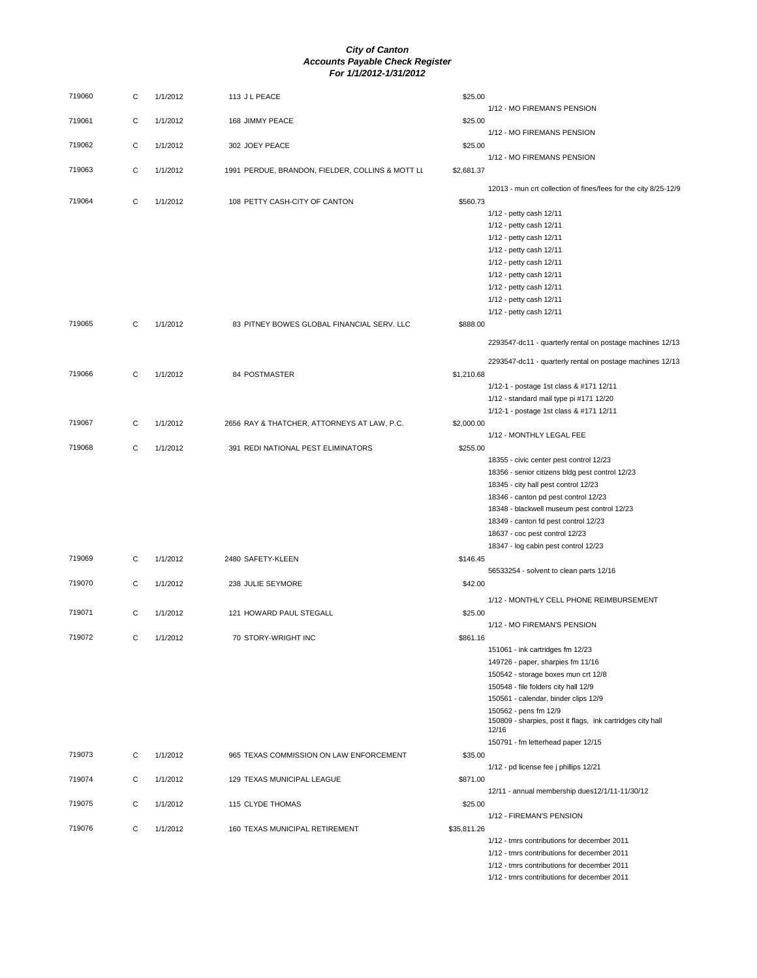| 719060 | С | 1/1/2012 | 113 J L PEACE                                    | \$25.00     |                                                                                    |
|--------|---|----------|--------------------------------------------------|-------------|------------------------------------------------------------------------------------|
| 719061 |   | 1/1/2012 |                                                  |             | 1/12 - MO FIREMAN'S PENSION                                                        |
|        | С |          | 168 JIMMY PEACE                                  | \$25.00     | 1/12 - MO FIREMANS PENSION                                                         |
| 719062 | C | 1/1/2012 | 302 JOEY PEACE                                   | \$25.00     |                                                                                    |
|        |   |          |                                                  |             | 1/12 - MO FIREMANS PENSION                                                         |
| 719063 | C | 1/1/2012 | 1991 PERDUE, BRANDON, FIELDER, COLLINS & MOTT LL | \$2,681.37  |                                                                                    |
|        |   |          |                                                  |             | 12013 - mun crt collection of fines/fees for the city 8/25-12/9                    |
| 719064 | C | 1/1/2012 | 108 PETTY CASH-CITY OF CANTON                    | \$560.73    |                                                                                    |
|        |   |          |                                                  |             | 1/12 - petty cash 12/11<br>1/12 - petty cash 12/11                                 |
|        |   |          |                                                  |             | 1/12 - petty cash 12/11                                                            |
|        |   |          |                                                  |             | 1/12 - petty cash 12/11                                                            |
|        |   |          |                                                  |             | 1/12 - petty cash 12/11                                                            |
|        |   |          |                                                  |             | 1/12 - petty cash 12/11                                                            |
|        |   |          |                                                  |             | 1/12 - petty cash 12/11                                                            |
|        |   |          |                                                  |             | 1/12 - petty cash 12/11                                                            |
| 719065 | С | 1/1/2012 | 83 PITNEY BOWES GLOBAL FINANCIAL SERV. LLC       | \$888.00    | 1/12 - petty cash 12/11                                                            |
|        |   |          |                                                  |             |                                                                                    |
|        |   |          |                                                  |             | 2293547-dc11 - quarterly rental on postage machines 12/13                          |
|        |   |          |                                                  |             | 2293547-dc11 - quarterly rental on postage machines 12/13                          |
| 719066 | С | 1/1/2012 | 84 POSTMASTER                                    | \$1,210.68  |                                                                                    |
|        |   |          |                                                  |             | 1/12-1 - postage 1st class & #171 12/11<br>1/12 - standard mail type pi #171 12/20 |
|        |   |          |                                                  |             | 1/12-1 - postage 1st class & #171 12/11                                            |
| 719067 | C | 1/1/2012 | 2656 RAY & THATCHER, ATTORNEYS AT LAW, P.C.      | \$2,000.00  |                                                                                    |
|        |   |          |                                                  |             | 1/12 - MONTHLY LEGAL FEE                                                           |
| 719068 | С | 1/1/2012 | 391 REDI NATIONAL PEST ELIMINATORS               | \$255.00    |                                                                                    |
|        |   |          |                                                  |             | 18355 - civic center pest control 12/23                                            |
|        |   |          |                                                  |             | 18356 - senior citizens bldg pest control 12/23                                    |
|        |   |          |                                                  |             | 18345 - city hall pest control 12/23<br>18346 - canton pd pest control 12/23       |
|        |   |          |                                                  |             | 18348 - blackwell museum pest control 12/23                                        |
|        |   |          |                                                  |             | 18349 - canton fd pest control 12/23                                               |
|        |   |          |                                                  |             | 18637 - coc pest control 12/23                                                     |
|        |   |          |                                                  |             | 18347 - log cabin pest control 12/23                                               |
| 719069 | С | 1/1/2012 | 2480 SAFETY-KLEEN                                | \$146.45    |                                                                                    |
| 719070 | C | 1/1/2012 | 238 JULIE SEYMORE                                | \$42.00     | 56533254 - solvent to clean parts 12/16                                            |
|        |   |          |                                                  |             | 1/12 - MONTHLY CELL PHONE REIMBURSEMENT                                            |
| 719071 | С | 1/1/2012 | 121 HOWARD PAUL STEGALL                          | \$25.00     |                                                                                    |
|        |   |          |                                                  |             | 1/12 - MO FIREMAN'S PENSION                                                        |
| 719072 | С | 1/1/2012 | 70 STORY-WRIGHT INC                              | \$861.16    |                                                                                    |
|        |   |          |                                                  |             | 151061 - ink cartridges fm 12/23                                                   |
|        |   |          |                                                  |             | 149726 - paper, sharpies fm 11/16                                                  |
|        |   |          |                                                  |             | 150542 - storage boxes mun crt 12/8<br>150548 - file folders city hall 12/9        |
|        |   |          |                                                  |             | 150561 - calendar, binder clips 12/9                                               |
|        |   |          |                                                  |             | 150562 - pens fm 12/9                                                              |
|        |   |          |                                                  |             | 150809 - sharpies, post it flags, ink cartridges city hall                         |
|        |   |          |                                                  |             | 12/16<br>150791 - fm letterhead paper 12/15                                        |
| 719073 | С | 1/1/2012 | 965 TEXAS COMMISSION ON LAW ENFORCEMENT          | \$35.00     |                                                                                    |
|        |   |          |                                                  |             | 1/12 - pd license fee j phillips 12/21                                             |
| 719074 | С | 1/1/2012 | 129 TEXAS MUNICIPAL LEAGUE                       | \$871.00    |                                                                                    |
|        |   |          |                                                  |             | 12/11 - annual membership dues12/1/11-11/30/12                                     |
| 719075 | С | 1/1/2012 | 115 CLYDE THOMAS                                 | \$25.00     | 1/12 - FIREMAN'S PENSION                                                           |
| 719076 | С | 1/1/2012 | 160 TEXAS MUNICIPAL RETIREMENT                   | \$35,811.26 |                                                                                    |
|        |   |          |                                                  |             | 1/12 - tmrs contributions for december 2011                                        |
|        |   |          |                                                  |             | 1/12 - tmrs contributions for december 2011                                        |
|        |   |          |                                                  |             | 1/12 - tmrs contributions for december 2011                                        |
|        |   |          |                                                  |             | 1/12 - tmrs contributions for december 2011                                        |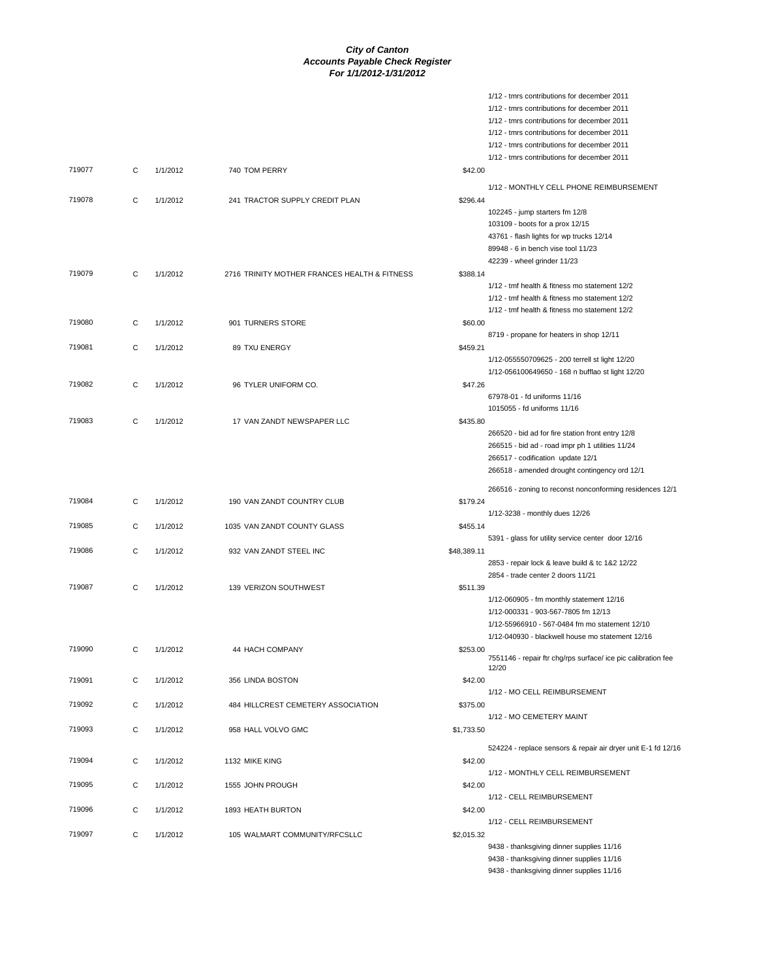1/12 - tmrs contributions for december 2011

|        |   |          |                                              |             | 1/12 - tmrs contributions for december 2011                                            |
|--------|---|----------|----------------------------------------------|-------------|----------------------------------------------------------------------------------------|
|        |   |          |                                              |             | 1/12 - tmrs contributions for december 2011                                            |
|        |   |          |                                              |             | 1/12 - tmrs contributions for december 2011                                            |
|        |   |          |                                              |             | 1/12 - tmrs contributions for december 2011                                            |
|        |   |          |                                              |             | 1/12 - tmrs contributions for december 2011                                            |
| 719077 | C | 1/1/2012 | 740 TOM PERRY                                | \$42.00     |                                                                                        |
|        |   |          |                                              |             | 1/12 - MONTHLY CELL PHONE REIMBURSEMENT                                                |
| 719078 | C | 1/1/2012 | 241 TRACTOR SUPPLY CREDIT PLAN               | \$296.44    |                                                                                        |
|        |   |          |                                              |             | 102245 - jump starters fm 12/8                                                         |
|        |   |          |                                              |             | 103109 - boots for a prox 12/15                                                        |
|        |   |          |                                              |             | 43761 - flash lights for wp trucks 12/14                                               |
|        |   |          |                                              |             | 89948 - 6 in bench vise tool 11/23                                                     |
|        |   |          |                                              |             | 42239 - wheel grinder 11/23                                                            |
| 719079 | C | 1/1/2012 | 2716 TRINITY MOTHER FRANCES HEALTH & FITNESS | \$388.14    |                                                                                        |
|        |   |          |                                              |             | 1/12 - tmf health & fitness mo statement 12/2                                          |
|        |   |          |                                              |             | 1/12 - tmf health & fitness mo statement 12/2                                          |
|        |   |          |                                              |             | 1/12 - tmf health & fitness mo statement 12/2                                          |
| 719080 | С | 1/1/2012 | 901 TURNERS STORE                            | \$60.00     |                                                                                        |
|        |   |          |                                              |             | 8719 - propane for heaters in shop 12/11                                               |
| 719081 | C | 1/1/2012 | 89 TXU ENERGY                                | \$459.21    |                                                                                        |
|        |   |          |                                              |             | 1/12-055550709625 - 200 terrell st light 12/20                                         |
|        |   |          |                                              |             | 1/12-056100649650 - 168 n bufflao st light 12/20                                       |
| 719082 | C | 1/1/2012 | 96 TYLER UNIFORM CO.                         | \$47.26     |                                                                                        |
|        |   |          |                                              |             | 67978-01 - fd uniforms 11/16                                                           |
|        |   |          |                                              |             | 1015055 - fd uniforms 11/16                                                            |
| 719083 | C | 1/1/2012 | 17 VAN ZANDT NEWSPAPER LLC                   | \$435.80    |                                                                                        |
|        |   |          |                                              |             | 266520 - bid ad for fire station front entry 12/8                                      |
|        |   |          |                                              |             | 266515 - bid ad - road impr ph 1 utilities 11/24                                       |
|        |   |          |                                              |             | 266517 - codification update 12/1                                                      |
|        |   |          |                                              |             | 266518 - amended drought contingency ord 12/1                                          |
|        |   |          |                                              |             |                                                                                        |
|        |   |          |                                              |             | 266516 - zoning to reconst nonconforming residences 12/1                               |
| 719084 | С | 1/1/2012 | 190 VAN ZANDT COUNTRY CLUB                   | \$179.24    |                                                                                        |
|        |   |          |                                              |             | 1/12-3238 - monthly dues 12/26                                                         |
| 719085 | C | 1/1/2012 | 1035 VAN ZANDT COUNTY GLASS                  | \$455.14    |                                                                                        |
|        |   |          |                                              |             | 5391 - glass for utility service center door 12/16                                     |
| 719086 | C | 1/1/2012 | 932 VAN ZANDT STEEL INC                      | \$48,389.11 |                                                                                        |
|        |   |          |                                              |             | 2853 - repair lock & leave build & tc 1&2 12/22<br>2854 - trade center 2 doors 11/21   |
| 719087 |   |          | 139 VERIZON SOUTHWEST                        |             |                                                                                        |
|        | C | 1/1/2012 |                                              | \$511.39    |                                                                                        |
|        |   |          |                                              |             | 1/12-060905 - fm monthly statement 12/16<br>1/12-000331 - 903-567-7805 fm 12/13        |
|        |   |          |                                              |             | 1/12-55966910 - 567-0484 fm mo statement 12/10                                         |
|        |   |          |                                              |             | 1/12-040930 - blackwell house mo statement 12/16                                       |
| 719090 | C | 1/1/2012 | 44 HACH COMPANY                              | \$253.00    |                                                                                        |
|        |   |          |                                              |             | 7551146 - repair ftr chg/rps surface/ ice pic calibration fee                          |
|        |   |          |                                              |             | 12/20                                                                                  |
| 719091 | C | 1/1/2012 | 356 LINDA BOSTON                             | \$42.00     |                                                                                        |
|        |   |          |                                              |             | 1/12 - MO CELL REIMBURSEMENT                                                           |
| 719092 | C | 1/1/2012 | 484 HILLCREST CEMETERY ASSOCIATION           | \$375.00    |                                                                                        |
|        |   |          |                                              |             | 1/12 - MO CEMETERY MAINT                                                               |
| 719093 |   |          |                                              |             |                                                                                        |
|        | C | 1/1/2012 | 958 HALL VOLVO GMC                           | \$1,733.50  |                                                                                        |
| 719094 |   |          |                                              |             |                                                                                        |
|        |   |          |                                              |             | 524224 - replace sensors & repair air dryer unit E-1 fd 12/16                          |
|        | C | 1/1/2012 | 1132 MIKE KING                               | \$42.00     |                                                                                        |
|        |   |          |                                              |             | 1/12 - MONTHLY CELL REIMBURSEMENT                                                      |
| 719095 | C | 1/1/2012 | 1555 JOHN PROUGH                             | \$42.00     |                                                                                        |
|        |   |          |                                              |             | 1/12 - CELL REIMBURSEMENT                                                              |
| 719096 | С | 1/1/2012 | 1893 HEATH BURTON                            | \$42.00     |                                                                                        |
|        |   |          |                                              |             | 1/12 - CELL REIMBURSEMENT                                                              |
| 719097 | C | 1/1/2012 | 105 WALMART COMMUNITY/RFCSLLC                | \$2,015.32  |                                                                                        |
|        |   |          |                                              |             | 9438 - thanksgiving dinner supplies 11/16<br>9438 - thanksgiving dinner supplies 11/16 |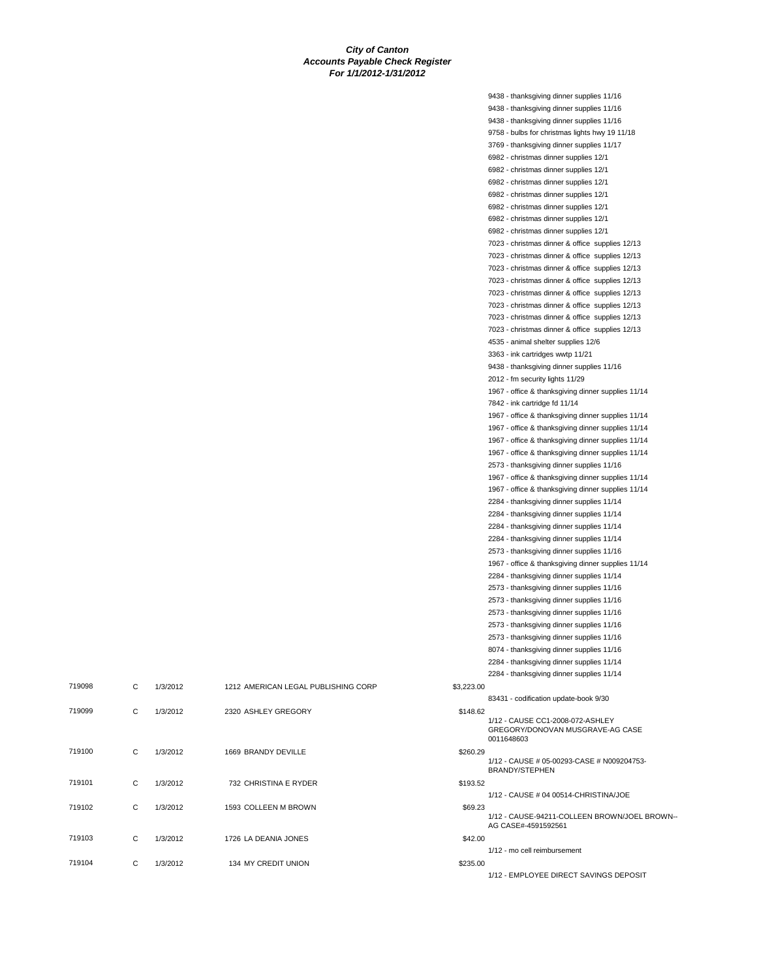|            | 9438 - thanksgiving dinner supplies 11/16          |
|------------|----------------------------------------------------|
|            | 9438 - thanksgiving dinner supplies 11/16          |
|            | 9438 - thanksgiving dinner supplies 11/16          |
|            | 9758 - bulbs for christmas lights hwy 19 11/18     |
|            | 3769 - thanksgiving dinner supplies 11/17          |
|            | 6982 - christmas dinner supplies 12/1              |
|            | 6982 - christmas dinner supplies 12/1              |
|            | 6982 - christmas dinner supplies 12/1              |
|            | 6982 - christmas dinner supplies 12/1              |
|            | 6982 - christmas dinner supplies 12/1              |
|            | 6982 - christmas dinner supplies 12/1              |
|            | 6982 - christmas dinner supplies 12/1              |
|            | 7023 - christmas dinner & office supplies 12/13    |
|            | 7023 - christmas dinner & office supplies 12/13    |
|            | 7023 - christmas dinner & office supplies 12/13    |
|            | 7023 - christmas dinner & office supplies 12/13    |
|            | 7023 - christmas dinner & office supplies 12/13    |
|            | 7023 - christmas dinner & office supplies 12/13    |
|            | 7023 - christmas dinner & office supplies 12/13    |
|            |                                                    |
|            | 7023 - christmas dinner & office supplies 12/13    |
|            | 4535 - animal shelter supplies 12/6                |
|            | 3363 - ink cartridges wwtp 11/21                   |
|            | 9438 - thanksgiving dinner supplies 11/16          |
|            | 2012 - fm security lights 11/29                    |
|            | 1967 - office & thanksgiving dinner supplies 11/14 |
|            | 7842 - ink cartridge fd 11/14                      |
|            | 1967 - office & thanksgiving dinner supplies 11/14 |
|            | 1967 - office & thanksgiving dinner supplies 11/14 |
|            | 1967 - office & thanksgiving dinner supplies 11/14 |
|            | 1967 - office & thanksgiving dinner supplies 11/14 |
|            | 2573 - thanksgiving dinner supplies 11/16          |
|            | 1967 - office & thanksgiving dinner supplies 11/14 |
|            | 1967 - office & thanksgiving dinner supplies 11/14 |
|            | 2284 - thanksgiving dinner supplies 11/14          |
|            | 2284 - thanksgiving dinner supplies 11/14          |
|            | 2284 - thanksgiving dinner supplies 11/14          |
|            | 2284 - thanksgiving dinner supplies 11/14          |
|            | 2573 - thanksgiving dinner supplies 11/16          |
|            | 1967 - office & thanksgiving dinner supplies 11/14 |
|            | 2284 - thanksgiving dinner supplies 11/14          |
|            | 2573 - thanksgiving dinner supplies 11/16          |
|            | 2573 - thanksgiving dinner supplies 11/16          |
|            | 2573 - thanksgiving dinner supplies 11/16          |
|            | 2573 - thanksgiving dinner supplies 11/16          |
|            | 2573 - thanksgiving dinner supplies 11/16          |
|            | 8074 - thanksgiving dinner supplies 11/16          |
|            | 2284 - thanksgiving dinner supplies 11/14          |
|            | 2284 - thanksgiving dinner supplies 11/14          |
| \$3,223.00 |                                                    |
|            | 83431 - codification update-book 9/30              |
| \$148.62   |                                                    |
|            | 1/12 - CAUSE CC1-2008-072-ASHLEY                   |
|            | GREGORY/DONOVAN MUSGRAVE-AG CASE<br>0011648603     |
|            |                                                    |
| \$260.29   | 1/12 - CAUSE # 05-00293-CASE # N009204753-         |
|            | <b>BRANDY/STEPHEN</b>                              |
| \$193.52   |                                                    |
|            | 1/12 - CAUSE # 04 00514-CHRISTINA/JOE              |
| \$69.23    |                                                    |
|            | 1/12 - CAUSE-94211-COLLEEN BROWN/JOEL BROWN-       |
|            | AG CASE#-4591592561                                |
| \$42.00    |                                                    |
|            | 1/12 - mo cell reimbursement                       |
| \$235.00   |                                                    |
|            | 1/12 - EMPLOYEE DIRECT SAVINGS DEPOSIT             |

| 719098 | C | 1/3/2012 | 1212 AMERICAN LEGAL PUBLISHING CORP | \$3,223.00                                                               |  |
|--------|---|----------|-------------------------------------|--------------------------------------------------------------------------|--|
|        |   |          |                                     | 83431 - codification update-                                             |  |
| 719099 | С | 1/3/2012 | 2320 ASHLEY GREGORY                 | \$148.62<br>1/12 - CAUSE CC1-2008-07<br>GREGORY/DONOVAN MU<br>0011648603 |  |
| 719100 | C | 1/3/2012 | 1669 BRANDY DEVILLE                 | \$260.29<br>1/12 - CAUSE # 05-00293-C<br>BRANDY/STEPHEN                  |  |
| 719101 | C | 1/3/2012 | 732 CHRISTINA E RYDER               | \$193.52<br>1/12 - CAUSE # 04 00514-C                                    |  |
| 719102 | C | 1/3/2012 | 1593 COLLEEN M BROWN                | \$69.23<br>1/12 - CAUSE-94211-COLL<br>AG CASE#-4591592561                |  |
| 719103 | C | 1/3/2012 | 1726 LA DEANIA JONES                | \$42.00<br>1/12 - mo cell reimbursemer                                   |  |
| 719104 | С | 1/3/2012 | 134 MY CREDIT UNION                 | \$235.00                                                                 |  |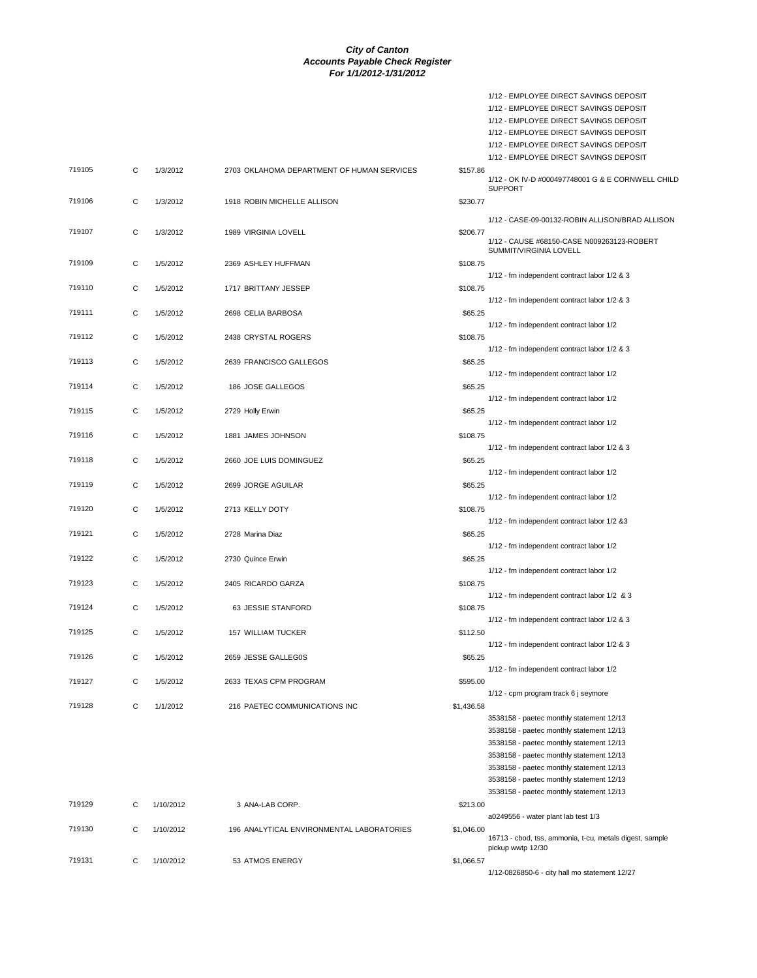1/12 - EMPLOYEE DIRECT SAVINGS DEPOSIT

|        |   |           |                                            |            | 1/12 - EMPLOYEE DIRECT SAVINGS DEPOSIT<br>1/12 - EMPLOYEE DIRECT SAVINGS DEPOSIT     |
|--------|---|-----------|--------------------------------------------|------------|--------------------------------------------------------------------------------------|
|        |   |           |                                            |            | 1/12 - EMPLOYEE DIRECT SAVINGS DEPOSIT<br>1/12 - EMPLOYEE DIRECT SAVINGS DEPOSIT     |
| 719105 | C | 1/3/2012  |                                            |            | 1/12 - EMPLOYEE DIRECT SAVINGS DEPOSIT                                               |
|        |   |           | 2703 OKLAHOMA DEPARTMENT OF HUMAN SERVICES | \$157.86   | 1/12 - OK IV-D #000497748001 G & E CORNWELL CHILD<br><b>SUPPORT</b>                  |
| 719106 | C | 1/3/2012  | 1918 ROBIN MICHELLE ALLISON                | \$230.77   | 1/12 - CASE-09-00132-ROBIN ALLISON/BRAD ALLISON                                      |
| 719107 | C | 1/3/2012  | 1989 VIRGINIA LOVELL                       | \$206.77   | 1/12 - CAUSE #68150-CASE N009263123-ROBERT                                           |
|        |   |           |                                            |            | SUMMIT/VIRGINIA LOVELL                                                               |
| 719109 | С | 1/5/2012  | 2369 ASHLEY HUFFMAN                        | \$108.75   | 1/12 - fm independent contract labor 1/2 & 3                                         |
| 719110 | C | 1/5/2012  | 1717 BRITTANY JESSEP                       | \$108.75   | 1/12 - fm independent contract labor 1/2 & 3                                         |
| 719111 | C | 1/5/2012  | 2698 CELIA BARBOSA                         | \$65.25    | 1/12 - fm independent contract labor 1/2                                             |
| 719112 | C | 1/5/2012  | 2438 CRYSTAL ROGERS                        | \$108.75   |                                                                                      |
| 719113 | С | 1/5/2012  | 2639 FRANCISCO GALLEGOS                    | \$65.25    | 1/12 - fm independent contract labor 1/2 & 3                                         |
| 719114 | C | 1/5/2012  | 186 JOSE GALLEGOS                          | \$65.25    | 1/12 - fm independent contract labor 1/2                                             |
|        |   |           |                                            |            | 1/12 - fm independent contract labor 1/2                                             |
| 719115 | C | 1/5/2012  | 2729 Holly Erwin                           | \$65.25    | 1/12 - fm independent contract labor 1/2                                             |
| 719116 | C | 1/5/2012  | 1881 JAMES JOHNSON                         | \$108.75   | 1/12 - fm independent contract labor 1/2 & 3                                         |
| 719118 | C | 1/5/2012  | 2660 JOE LUIS DOMINGUEZ                    | \$65.25    | 1/12 - fm independent contract labor 1/2                                             |
| 719119 | C | 1/5/2012  | 2699 JORGE AGUILAR                         | \$65.25    |                                                                                      |
| 719120 | C | 1/5/2012  | 2713 KELLY DOTY                            | \$108.75   | 1/12 - fm independent contract labor 1/2                                             |
| 719121 | C | 1/5/2012  | 2728 Marina Diaz                           | \$65.25    | 1/12 - fm independent contract labor 1/2 &3                                          |
|        |   |           |                                            |            | 1/12 - fm independent contract labor 1/2                                             |
| 719122 | С | 1/5/2012  | 2730 Quince Erwin                          | \$65.25    | 1/12 - fm independent contract labor 1/2                                             |
| 719123 | C | 1/5/2012  | 2405 RICARDO GARZA                         | \$108.75   | 1/12 - fm independent contract labor 1/2 & 3                                         |
| 719124 | C | 1/5/2012  | 63 JESSIE STANFORD                         | \$108.75   | 1/12 - fm independent contract labor 1/2 & 3                                         |
| 719125 | С | 1/5/2012  | 157 WILLIAM TUCKER                         | \$112.50   |                                                                                      |
| 719126 | C | 1/5/2012  | 2659 JESSE GALLEG0S                        | \$65.25    | 1/12 - fm independent contract labor 1/2 & 3                                         |
| 719127 | C | 1/5/2012  | 2633 TEXAS CPM PROGRAM                     | \$595.00   | 1/12 - fm independent contract labor 1/2                                             |
|        |   |           |                                            |            | 1/12 - cpm program track 6 j seymore                                                 |
| 719128 | С | 1/1/2012  | 216 PAETEC COMMUNICATIONS INC              | \$1,436.58 | 3538158 - paetec monthly statement 12/13                                             |
|        |   |           |                                            |            | 3538158 - paetec monthly statement 12/13<br>3538158 - paetec monthly statement 12/13 |
|        |   |           |                                            |            | 3538158 - paetec monthly statement 12/13                                             |
|        |   |           |                                            |            | 3538158 - paetec monthly statement 12/13                                             |
|        |   |           |                                            |            | 3538158 - paetec monthly statement 12/13<br>3538158 - paetec monthly statement 12/13 |
| 719129 | С | 1/10/2012 | 3 ANA-LAB CORP.                            | \$213.00   |                                                                                      |
|        |   |           |                                            |            | a0249556 - water plant lab test 1/3                                                  |
| 719130 | C | 1/10/2012 | 196 ANALYTICAL ENVIRONMENTAL LABORATORIES  | \$1,046.00 | 16713 - cbod, tss, ammonia, t-cu, metals digest, sample<br>pickup wwtp 12/30         |
| 719131 | С | 1/10/2012 | 53 ATMOS ENERGY                            | \$1,066.57 |                                                                                      |
|        |   |           |                                            |            | 1/12-0826850-6 - city hall mo statement 12/27                                        |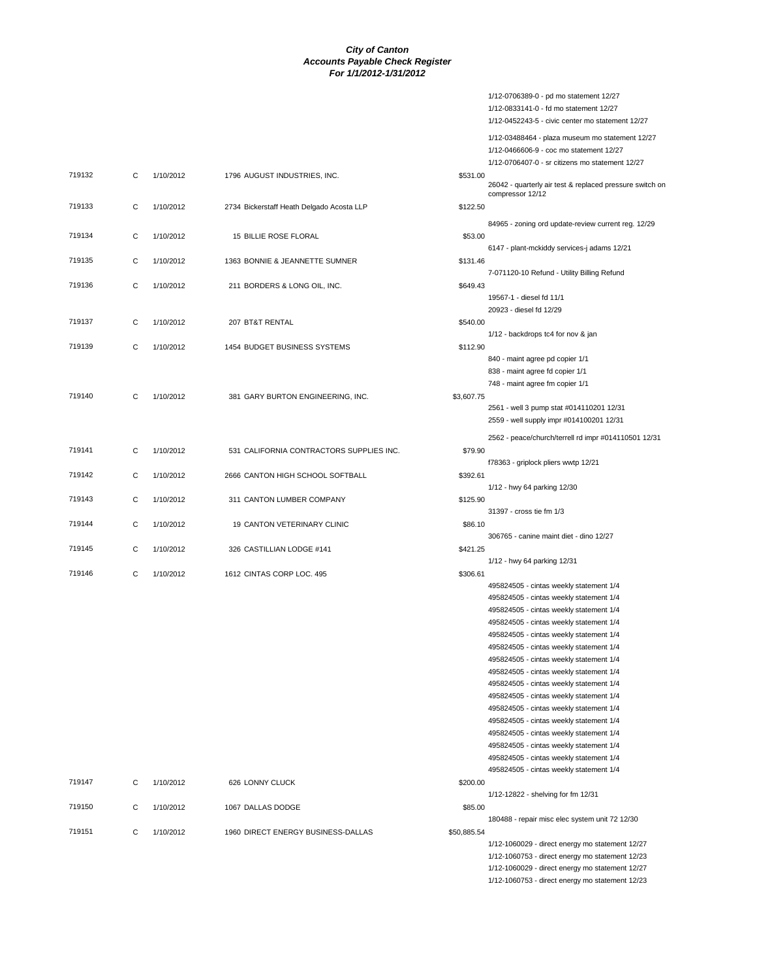|                  |        |                        |                                                        |                      | 1/12-0706389-0 - pd mo statement 12/27<br>1/12-0833141-0 - fd mo statement 12/27<br>1/12-0452243-5 - civic center mo statement 12/27                                                                                                                                                                                                                                                                                                                                                                                                                                                                                                                                                                         |
|------------------|--------|------------------------|--------------------------------------------------------|----------------------|--------------------------------------------------------------------------------------------------------------------------------------------------------------------------------------------------------------------------------------------------------------------------------------------------------------------------------------------------------------------------------------------------------------------------------------------------------------------------------------------------------------------------------------------------------------------------------------------------------------------------------------------------------------------------------------------------------------|
|                  |        |                        |                                                        |                      | 1/12-03488464 - plaza museum mo statement 12/27<br>1/12-0466606-9 - coc mo statement 12/27<br>1/12-0706407-0 - sr citizens mo statement 12/27                                                                                                                                                                                                                                                                                                                                                                                                                                                                                                                                                                |
| 719132           | С      | 1/10/2012              | 1796 AUGUST INDUSTRIES, INC.                           | \$531.00             | 26042 - quarterly air test & replaced pressure switch on<br>compressor 12/12                                                                                                                                                                                                                                                                                                                                                                                                                                                                                                                                                                                                                                 |
| 719133           | С      | 1/10/2012              | 2734 Bickerstaff Heath Delgado Acosta LLP              | \$122.50             |                                                                                                                                                                                                                                                                                                                                                                                                                                                                                                                                                                                                                                                                                                              |
| 719134           | С      | 1/10/2012              | 15 BILLIE ROSE FLORAL                                  | \$53.00              | 84965 - zoning ord update-review current reg. 12/29<br>6147 - plant-mckiddy services-j adams 12/21                                                                                                                                                                                                                                                                                                                                                                                                                                                                                                                                                                                                           |
| 719135           | C      | 1/10/2012              | 1363 BONNIE & JEANNETTE SUMNER                         | \$131.46             | 7-071120-10 Refund - Utility Billing Refund                                                                                                                                                                                                                                                                                                                                                                                                                                                                                                                                                                                                                                                                  |
| 719136           | C      | 1/10/2012              | 211 BORDERS & LONG OIL, INC.                           | \$649.43             | 19567-1 - diesel fd 11/1                                                                                                                                                                                                                                                                                                                                                                                                                                                                                                                                                                                                                                                                                     |
| 719137           | С      | 1/10/2012              | 207 BT&T RENTAL                                        | \$540.00             | 20923 - diesel fd 12/29<br>1/12 - backdrops tc4 for nov & jan                                                                                                                                                                                                                                                                                                                                                                                                                                                                                                                                                                                                                                                |
| 719139           | С      | 1/10/2012              | 1454 BUDGET BUSINESS SYSTEMS                           | \$112.90             | 840 - maint agree pd copier 1/1<br>838 - maint agree fd copier 1/1<br>748 - maint agree fm copier 1/1                                                                                                                                                                                                                                                                                                                                                                                                                                                                                                                                                                                                        |
| 719140           | С      | 1/10/2012              | 381 GARY BURTON ENGINEERING, INC.                      | \$3,607.75           | 2561 - well 3 pump stat #014110201 12/31<br>2559 - well supply impr #014100201 12/31                                                                                                                                                                                                                                                                                                                                                                                                                                                                                                                                                                                                                         |
| 719141           | C      | 1/10/2012              | 531 CALIFORNIA CONTRACTORS SUPPLIES INC.               | \$79.90              | 2562 - peace/church/terrell rd impr #014110501 12/31<br>f78363 - griplock pliers wwtp 12/21                                                                                                                                                                                                                                                                                                                                                                                                                                                                                                                                                                                                                  |
| 719142           | C      | 1/10/2012              | 2666 CANTON HIGH SCHOOL SOFTBALL                       | \$392.61             | 1/12 - hwy 64 parking 12/30                                                                                                                                                                                                                                                                                                                                                                                                                                                                                                                                                                                                                                                                                  |
| 719143           | С      | 1/10/2012              | 311 CANTON LUMBER COMPANY                              | \$125.90             | 31397 - cross tie fm 1/3                                                                                                                                                                                                                                                                                                                                                                                                                                                                                                                                                                                                                                                                                     |
| 719144           | С      | 1/10/2012              | 19 CANTON VETERINARY CLINIC                            | \$86.10              | 306765 - canine maint diet - dino 12/27                                                                                                                                                                                                                                                                                                                                                                                                                                                                                                                                                                                                                                                                      |
| 719145<br>719146 | С<br>C | 1/10/2012<br>1/10/2012 | 326 CASTILLIAN LODGE #141<br>1612 CINTAS CORP LOC. 495 | \$421.25<br>\$306.61 | 1/12 - hwy 64 parking 12/31                                                                                                                                                                                                                                                                                                                                                                                                                                                                                                                                                                                                                                                                                  |
| 719147           | С      | 1/10/2012              | 626 LONNY CLUCK                                        | \$200.00             | 495824505 - cintas weekly statement 1/4<br>495824505 - cintas weekly statement 1/4<br>495824505 - cintas weekly statement 1/4<br>495824505 - cintas weekly statement 1/4<br>495824505 - cintas weekly statement 1/4<br>495824505 - cintas weekly statement 1/4<br>495824505 - cintas weekly statement 1/4<br>495824505 - cintas weekly statement 1/4<br>495824505 - cintas weekly statement 1/4<br>495824505 - cintas weekly statement 1/4<br>495824505 - cintas weekly statement 1/4<br>495824505 - cintas weekly statement 1/4<br>495824505 - cintas weekly statement 1/4<br>495824505 - cintas weekly statement 1/4<br>495824505 - cintas weekly statement 1/4<br>495824505 - cintas weekly statement 1/4 |
| 719150           | С      | 1/10/2012              | 1067 DALLAS DODGE                                      | \$85.00              | 1/12-12822 - shelving for fm 12/31                                                                                                                                                                                                                                                                                                                                                                                                                                                                                                                                                                                                                                                                           |
| 719151           | C      | 1/10/2012              | 1960 DIRECT ENERGY BUSINESS-DALLAS                     | \$50,885.54          | 180488 - repair misc elec system unit 72 12/30<br>1/12-1060029 - direct energy mo statement 12/27<br>1/12-1060753 - direct energy mo statement 12/23<br>1/12-1060029 - direct energy mo statement 12/27<br>1/12-1060753 - direct energy mo statement 12/23                                                                                                                                                                                                                                                                                                                                                                                                                                                   |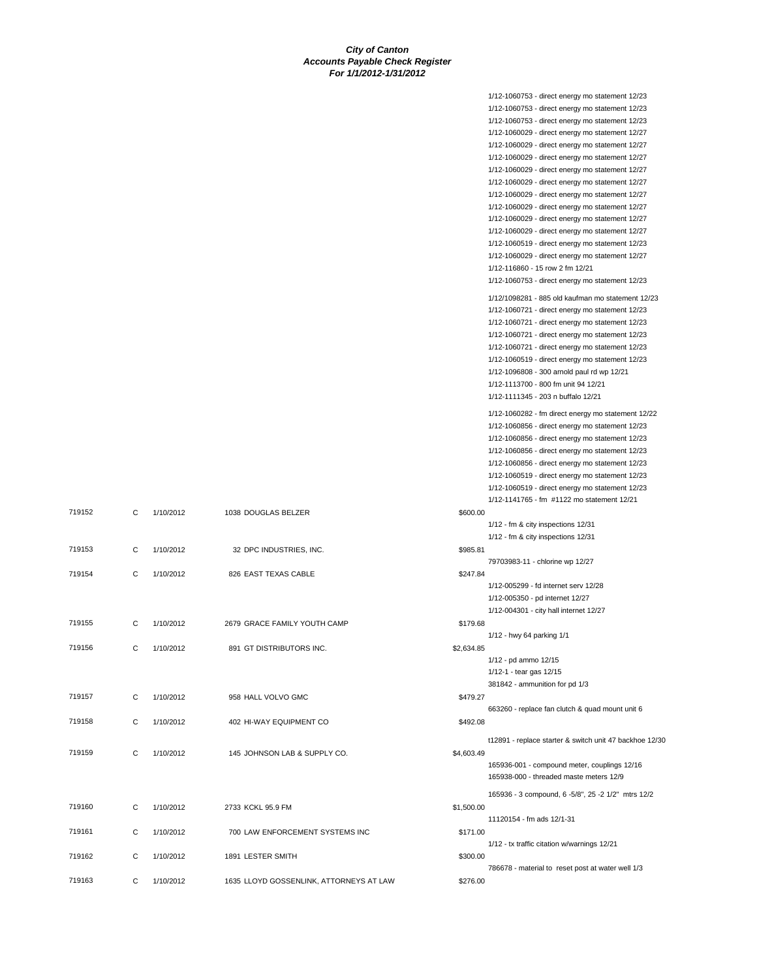|        |   |           |                                         |            | 1/12-1060753 - direct energy mo statement 12/23         |
|--------|---|-----------|-----------------------------------------|------------|---------------------------------------------------------|
|        |   |           |                                         |            | 1/12-1060753 - direct energy mo statement 12/23         |
|        |   |           |                                         |            | 1/12-1060753 - direct energy mo statement 12/23         |
|        |   |           |                                         |            | 1/12-1060029 - direct energy mo statement 12/27         |
|        |   |           |                                         |            | 1/12-1060029 - direct energy mo statement 12/27         |
|        |   |           |                                         |            | 1/12-1060029 - direct energy mo statement 12/27         |
|        |   |           |                                         |            |                                                         |
|        |   |           |                                         |            | 1/12-1060029 - direct energy mo statement 12/27         |
|        |   |           |                                         |            | 1/12-1060029 - direct energy mo statement 12/27         |
|        |   |           |                                         |            | 1/12-1060029 - direct energy mo statement 12/27         |
|        |   |           |                                         |            | 1/12-1060029 - direct energy mo statement 12/27         |
|        |   |           |                                         |            | 1/12-1060029 - direct energy mo statement 12/27         |
|        |   |           |                                         |            | 1/12-1060029 - direct energy mo statement 12/27         |
|        |   |           |                                         |            | 1/12-1060519 - direct energy mo statement 12/23         |
|        |   |           |                                         |            | 1/12-1060029 - direct energy mo statement 12/27         |
|        |   |           |                                         |            | 1/12-116860 - 15 row 2 fm 12/21                         |
|        |   |           |                                         |            | 1/12-1060753 - direct energy mo statement 12/23         |
|        |   |           |                                         |            | 1/12/1098281 - 885 old kaufman mo statement 12/23       |
|        |   |           |                                         |            | 1/12-1060721 - direct energy mo statement 12/23         |
|        |   |           |                                         |            |                                                         |
|        |   |           |                                         |            | 1/12-1060721 - direct energy mo statement 12/23         |
|        |   |           |                                         |            | 1/12-1060721 - direct energy mo statement 12/23         |
|        |   |           |                                         |            | 1/12-1060721 - direct energy mo statement 12/23         |
|        |   |           |                                         |            | 1/12-1060519 - direct energy mo statement 12/23         |
|        |   |           |                                         |            | 1/12-1096808 - 300 arnold paul rd wp 12/21              |
|        |   |           |                                         |            | 1/12-1113700 - 800 fm unit 94 12/21                     |
|        |   |           |                                         |            | 1/12-1111345 - 203 n buffalo 12/21                      |
|        |   |           |                                         |            | 1/12-1060282 - fm direct energy mo statement 12/22      |
|        |   |           |                                         |            | 1/12-1060856 - direct energy mo statement 12/23         |
|        |   |           |                                         |            |                                                         |
|        |   |           |                                         |            | 1/12-1060856 - direct energy mo statement 12/23         |
|        |   |           |                                         |            | 1/12-1060856 - direct energy mo statement 12/23         |
|        |   |           |                                         |            | 1/12-1060856 - direct energy mo statement 12/23         |
|        |   |           |                                         |            | 1/12-1060519 - direct energy mo statement 12/23         |
|        |   |           |                                         |            | 1/12-1060519 - direct energy mo statement 12/23         |
|        |   |           |                                         |            | 1/12-1141765 - fm #1122 mo statement 12/21              |
| 719152 | C | 1/10/2012 | 1038 DOUGLAS BELZER                     | \$600.00   |                                                         |
|        |   |           |                                         |            | 1/12 - fm & city inspections 12/31                      |
|        |   |           |                                         |            | 1/12 - fm & city inspections 12/31                      |
| 719153 | C | 1/10/2012 | 32 DPC INDUSTRIES, INC.                 | \$985.81   |                                                         |
|        |   |           |                                         |            | 79703983-11 - chlorine wp 12/27                         |
| 719154 | C | 1/10/2012 | 826 EAST TEXAS CABLE                    | \$247.84   |                                                         |
|        |   |           |                                         |            | 1/12-005299 - fd internet serv 12/28                    |
|        |   |           |                                         |            | 1/12-005350 - pd internet 12/27                         |
|        |   |           |                                         |            | 1/12-004301 - city hall internet 12/27                  |
| 719155 | C | 1/10/2012 | 2679 GRACE FAMILY YOUTH CAMP            | \$179.68   |                                                         |
|        |   |           |                                         |            | 1/12 - hwy 64 parking 1/1                               |
| 719156 | С |           |                                         |            |                                                         |
|        |   | 1/10/2012 | 891 GT DISTRIBUTORS INC.                | \$2,634.85 |                                                         |
|        |   |           |                                         |            | 1/12 - pd ammo 12/15                                    |
|        |   |           |                                         |            | 1/12-1 - tear gas 12/15                                 |
|        |   |           |                                         |            | 381842 - ammunition for pd 1/3                          |
| 719157 | С | 1/10/2012 | 958 HALL VOLVO GMC                      | \$479.27   |                                                         |
|        |   |           |                                         |            | 663260 - replace fan clutch & quad mount unit 6         |
| 719158 | C | 1/10/2012 | 402 HI-WAY EQUIPMENT CO                 | \$492.08   |                                                         |
|        |   |           |                                         |            | t12891 - replace starter & switch unit 47 backhoe 12/30 |
| 719159 | C | 1/10/2012 | 145 JOHNSON LAB & SUPPLY CO.            | \$4,603.49 |                                                         |
|        |   |           |                                         |            | 165936-001 - compound meter, couplings 12/16            |
|        |   |           |                                         |            | 165938-000 - threaded maste meters 12/9                 |
|        |   |           |                                         |            |                                                         |
|        |   |           |                                         |            | 165936 - 3 compound, 6 - 5/8", 25 - 2 1/2" mtrs 12/2    |
| 719160 | C | 1/10/2012 | 2733 KCKL 95.9 FM                       | \$1,500.00 |                                                         |
|        |   |           |                                         |            | 11120154 - fm ads 12/1-31                               |
| 719161 | C | 1/10/2012 | 700 LAW ENFORCEMENT SYSTEMS INC         | \$171.00   |                                                         |
|        |   |           |                                         |            | 1/12 - tx traffic citation w/warnings 12/21             |
| 719162 | С | 1/10/2012 | 1891 LESTER SMITH                       | \$300.00   |                                                         |
|        |   |           |                                         |            | 786678 - material to reset post at water well 1/3       |
| 719163 | С | 1/10/2012 | 1635 LLOYD GOSSENLINK, ATTORNEYS AT LAW | \$276.00   |                                                         |
|        |   |           |                                         |            |                                                         |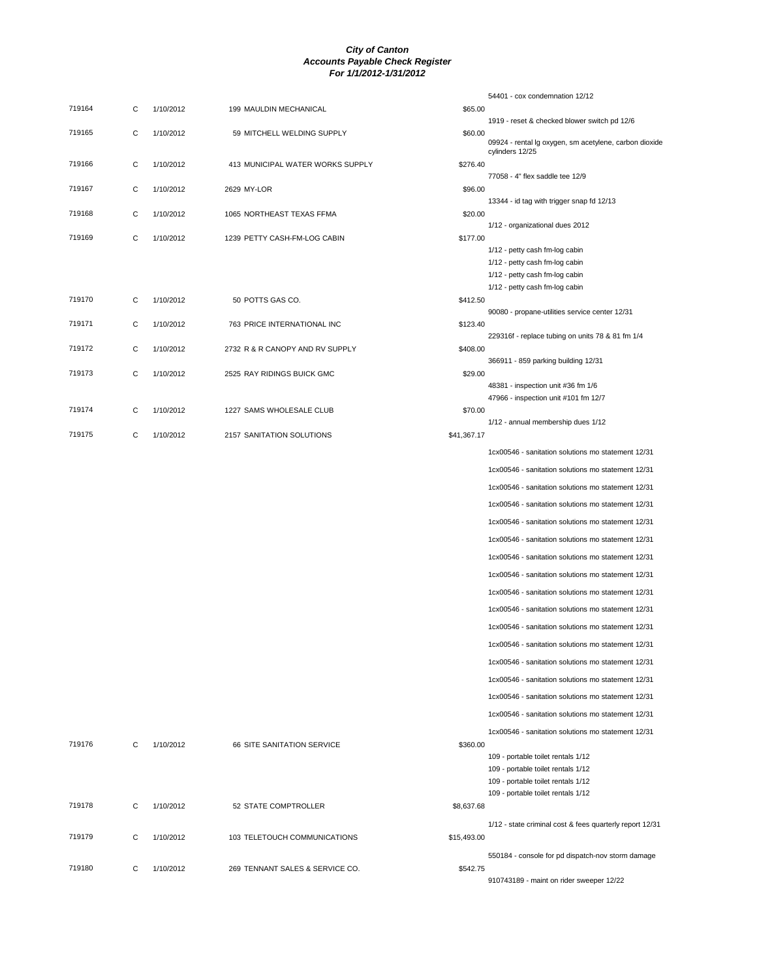|        |   |           |                                  |             | 54401 - cox condemnation 12/12                                                                         |
|--------|---|-----------|----------------------------------|-------------|--------------------------------------------------------------------------------------------------------|
| 719164 | C | 1/10/2012 | 199 MAULDIN MECHANICAL           | \$65.00     |                                                                                                        |
| 719165 | С | 1/10/2012 | 59 MITCHELL WELDING SUPPLY       | \$60.00     | 1919 - reset & checked blower switch pd 12/6<br>09924 - rental Ig oxygen, sm acetylene, carbon dioxide |
| 719166 | С | 1/10/2012 | 413 MUNICIPAL WATER WORKS SUPPLY | \$276.40    | cylinders 12/25                                                                                        |
|        |   |           |                                  |             | 77058 - 4" flex saddle tee 12/9                                                                        |
| 719167 | С | 1/10/2012 | 2629 MY-LOR                      | \$96.00     | 13344 - id tag with trigger snap fd 12/13                                                              |
| 719168 | С | 1/10/2012 | 1065 NORTHEAST TEXAS FFMA        | \$20.00     |                                                                                                        |
| 719169 | С | 1/10/2012 | 1239 PETTY CASH-FM-LOG CABIN     | \$177.00    | 1/12 - organizational dues 2012                                                                        |
|        |   |           |                                  |             | 1/12 - petty cash fm-log cabin                                                                         |
|        |   |           |                                  |             | 1/12 - petty cash fm-log cabin<br>1/12 - petty cash fm-log cabin                                       |
|        |   |           |                                  |             | 1/12 - petty cash fm-log cabin                                                                         |
| 719170 | C | 1/10/2012 | 50 POTTS GAS CO.                 | \$412.50    |                                                                                                        |
| 719171 | С | 1/10/2012 | 763 PRICE INTERNATIONAL INC      | \$123.40    | 90080 - propane-utilities service center 12/31                                                         |
|        |   |           |                                  |             | 229316f - replace tubing on units 78 & 81 fm 1/4                                                       |
| 719172 | С | 1/10/2012 | 2732 R & R CANOPY AND RV SUPPLY  | \$408.00    |                                                                                                        |
| 719173 | C | 1/10/2012 | 2525 RAY RIDINGS BUICK GMC       | \$29.00     | 366911 - 859 parking building 12/31                                                                    |
|        |   |           |                                  |             | 48381 - inspection unit #36 fm 1/6                                                                     |
|        |   |           |                                  |             | 47966 - inspection unit #101 fm 12/7                                                                   |
| 719174 | С | 1/10/2012 | 1227 SAMS WHOLESALE CLUB         | \$70.00     | 1/12 - annual membership dues 1/12                                                                     |
| 719175 | C | 1/10/2012 | 2157 SANITATION SOLUTIONS        | \$41,367.17 |                                                                                                        |
|        |   |           |                                  |             | 1cx00546 - sanitation solutions mo statement 12/31                                                     |
|        |   |           |                                  |             | 1cx00546 - sanitation solutions mo statement 12/31                                                     |
|        |   |           |                                  |             | 1cx00546 - sanitation solutions mo statement 12/31                                                     |
|        |   |           |                                  |             | 1cx00546 - sanitation solutions mo statement 12/31                                                     |
|        |   |           |                                  |             | 1cx00546 - sanitation solutions mo statement 12/31                                                     |
|        |   |           |                                  |             | 1cx00546 - sanitation solutions mo statement 12/31                                                     |
|        |   |           |                                  |             | 1cx00546 - sanitation solutions mo statement 12/31                                                     |
|        |   |           |                                  |             | 1cx00546 - sanitation solutions mo statement 12/31                                                     |
|        |   |           |                                  |             | 1cx00546 - sanitation solutions mo statement 12/31                                                     |
|        |   |           |                                  |             | 1cx00546 - sanitation solutions mo statement 12/31                                                     |
|        |   |           |                                  |             | 1cx00546 - sanitation solutions mo statement 12/31                                                     |
|        |   |           |                                  |             | 1cx00546 - sanitation solutions mo statement 12/31                                                     |
|        |   |           |                                  |             | 1cx00546 - sanitation solutions mo statement 12/31                                                     |
|        |   |           |                                  |             | 1cx00546 - sanitation solutions mo statement 12/31                                                     |
|        |   |           |                                  |             | 1cx00546 - sanitation solutions mo statement 12/31                                                     |
|        |   |           |                                  |             | 1cx00546 - sanitation solutions mo statement 12/31                                                     |
|        |   |           |                                  |             |                                                                                                        |
| 719176 | C | 1/10/2012 | 66 SITE SANITATION SERVICE       | \$360.00    | 1cx00546 - sanitation solutions mo statement 12/31                                                     |
|        |   |           |                                  |             | 109 - portable toilet rentals 1/12                                                                     |
|        |   |           |                                  |             | 109 - portable toilet rentals 1/12<br>109 - portable toilet rentals 1/12                               |
|        |   |           |                                  |             | 109 - portable toilet rentals 1/12                                                                     |
| 719178 | C | 1/10/2012 | 52 STATE COMPTROLLER             | \$8,637.68  |                                                                                                        |
|        |   |           |                                  |             | 1/12 - state criminal cost & fees quarterly report 12/31                                               |
| 719179 | C | 1/10/2012 | 103 TELETOUCH COMMUNICATIONS     | \$15,493.00 |                                                                                                        |
|        |   |           |                                  |             | 550184 - console for pd dispatch-nov storm damage                                                      |
| 719180 | C | 1/10/2012 | 269 TENNANT SALES & SERVICE CO.  | \$542.75    | 910743189 - maint on rider sweeper 12/22                                                               |
|        |   |           |                                  |             |                                                                                                        |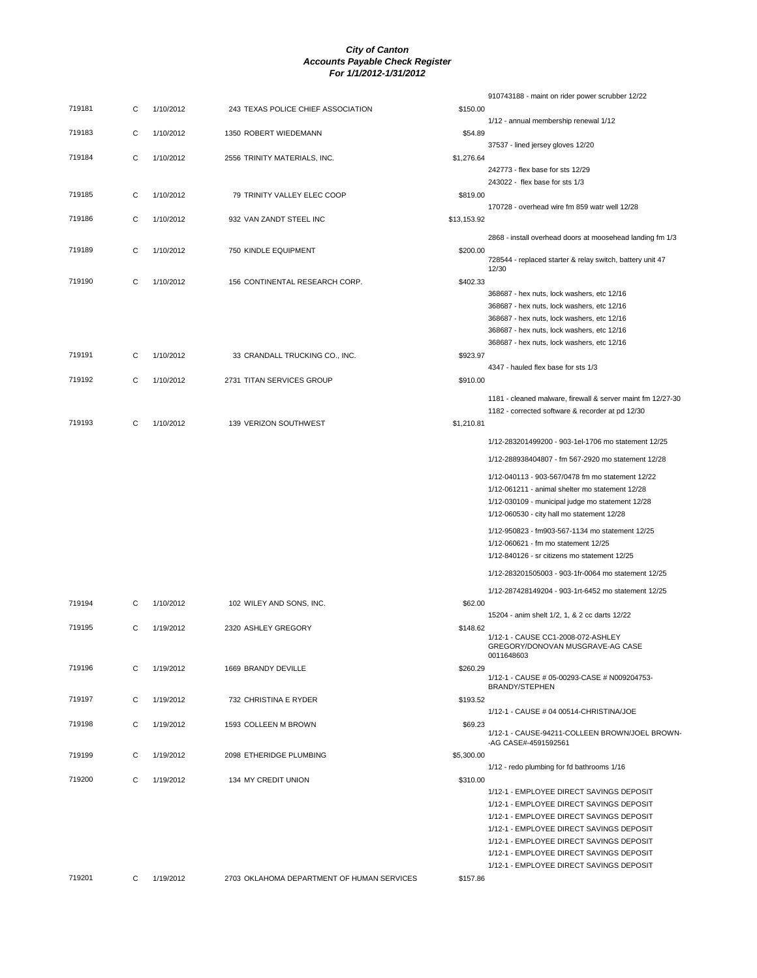|        |   |           |                                            |             | 910743188 - maint on rider power scrubber 12/22                                                                 |
|--------|---|-----------|--------------------------------------------|-------------|-----------------------------------------------------------------------------------------------------------------|
| 719181 | С | 1/10/2012 | 243 TEXAS POLICE CHIEF ASSOCIATION         | \$150.00    | 1/12 - annual membership renewal 1/12                                                                           |
| 719183 | C | 1/10/2012 | 1350 ROBERT WIEDEMANN                      | \$54.89     |                                                                                                                 |
| 719184 | C | 1/10/2012 | 2556 TRINITY MATERIALS, INC.               | \$1,276.64  | 37537 - lined jersey gloves 12/20                                                                               |
|        |   |           |                                            |             | 242773 - flex base for sts 12/29<br>243022 - flex base for sts 1/3                                              |
| 719185 | С | 1/10/2012 | 79 TRINITY VALLEY ELEC COOP                | \$819.00    | 170728 - overhead wire fm 859 watr well 12/28                                                                   |
| 719186 | C | 1/10/2012 | 932 VAN ZANDT STEEL INC                    | \$13,153.92 |                                                                                                                 |
| 719189 | С | 1/10/2012 | 750 KINDLE EQUIPMENT                       | \$200.00    | 2868 - install overhead doors at moosehead landing fm 1/3                                                       |
|        |   |           |                                            |             | 728544 - replaced starter & relay switch, battery unit 47<br>12/30                                              |
| 719190 | С | 1/10/2012 | 156 CONTINENTAL RESEARCH CORP.             | \$402.33    | 368687 - hex nuts, lock washers, etc 12/16                                                                      |
|        |   |           |                                            |             | 368687 - hex nuts, lock washers, etc 12/16                                                                      |
|        |   |           |                                            |             | 368687 - hex nuts, lock washers, etc 12/16                                                                      |
|        |   |           |                                            |             | 368687 - hex nuts, lock washers, etc 12/16                                                                      |
|        |   |           |                                            |             |                                                                                                                 |
|        |   |           |                                            |             | 368687 - hex nuts, lock washers, etc 12/16                                                                      |
| 719191 | C | 1/10/2012 | 33 CRANDALL TRUCKING CO., INC.             | \$923.97    |                                                                                                                 |
|        |   |           |                                            |             | 4347 - hauled flex base for sts 1/3                                                                             |
| 719192 | C | 1/10/2012 | 2731 TITAN SERVICES GROUP                  | \$910.00    |                                                                                                                 |
|        |   |           |                                            |             | 1181 - cleaned malware, firewall & server maint fm 12/27-30<br>1182 - corrected software & recorder at pd 12/30 |
| 719193 | C | 1/10/2012 | 139 VERIZON SOUTHWEST                      | \$1,210.81  |                                                                                                                 |
|        |   |           |                                            |             | 1/12-283201499200 - 903-1el-1706 mo statement 12/25                                                             |
|        |   |           |                                            |             | 1/12-288938404807 - fm 567-2920 mo statement 12/28                                                              |
|        |   |           |                                            |             | 1/12-040113 - 903-567/0478 fm mo statement 12/22                                                                |
|        |   |           |                                            |             | 1/12-061211 - animal shelter mo statement 12/28                                                                 |
|        |   |           |                                            |             | 1/12-030109 - municipal judge mo statement 12/28                                                                |
|        |   |           |                                            |             | 1/12-060530 - city hall mo statement 12/28                                                                      |
|        |   |           |                                            |             | 1/12-950823 - fm903-567-1134 mo statement 12/25                                                                 |
|        |   |           |                                            |             | 1/12-060621 - fm mo statement 12/25                                                                             |
|        |   |           |                                            |             | 1/12-840126 - sr citizens mo statement 12/25                                                                    |
|        |   |           |                                            |             | 1/12-283201505003 - 903-1fr-0064 mo statement 12/25<br>1/12-287428149204 - 903-1rt-6452 mo statement 12/25      |
| 719194 | С | 1/10/2012 | 102 WILEY AND SONS, INC.                   | \$62.00     |                                                                                                                 |
| 719195 | C | 1/19/2012 | 2320 ASHLEY GREGORY                        | \$148.62    | 15204 - anim shelt 1/2, 1, & 2 cc darts 12/22                                                                   |
|        |   |           |                                            |             | 1/12-1 - CAUSE CC1-2008-072-ASHLEY                                                                              |
|        |   |           |                                            |             | GREGORY/DONOVAN MUSGRAVE-AG CASE<br>0011648603                                                                  |
| 719196 | C | 1/19/2012 | 1669 BRANDY DEVILLE                        | \$260.29    | 1/12-1 - CAUSE # 05-00293-CASE # N009204753-                                                                    |
| 719197 | C | 1/19/2012 | 732 CHRISTINA E RYDER                      | \$193.52    | <b>BRANDY/STEPHEN</b>                                                                                           |
| 719198 | C | 1/19/2012 | 1593 COLLEEN M BROWN                       | \$69.23     | 1/12-1 - CAUSE # 04 00514-CHRISTINA/JOE                                                                         |
|        |   |           |                                            |             | 1/12-1 - CAUSE-94211-COLLEEN BROWN/JOEL BROWN-<br>-AG CASE#-4591592561                                          |
| 719199 | C | 1/19/2012 | 2098 ETHERIDGE PLUMBING                    | \$5,300.00  | 1/12 - redo plumbing for fd bathrooms 1/16                                                                      |
| 719200 | C | 1/19/2012 | 134 MY CREDIT UNION                        | \$310.00    |                                                                                                                 |
|        |   |           |                                            |             | 1/12-1 - EMPLOYEE DIRECT SAVINGS DEPOSIT<br>1/12-1 - EMPLOYEE DIRECT SAVINGS DEPOSIT                            |
|        |   |           |                                            |             | 1/12-1 - EMPLOYEE DIRECT SAVINGS DEPOSIT                                                                        |
|        |   |           |                                            |             | 1/12-1 - EMPLOYEE DIRECT SAVINGS DEPOSIT<br>1/12-1 - EMPLOYEE DIRECT SAVINGS DEPOSIT                            |
|        |   |           |                                            |             | 1/12-1 - EMPLOYEE DIRECT SAVINGS DEPOSIT                                                                        |
|        |   |           |                                            |             | 1/12-1 - EMPLOYEE DIRECT SAVINGS DEPOSIT                                                                        |
| 719201 | C | 1/19/2012 | 2703 OKLAHOMA DEPARTMENT OF HUMAN SERVICES | \$157.86    |                                                                                                                 |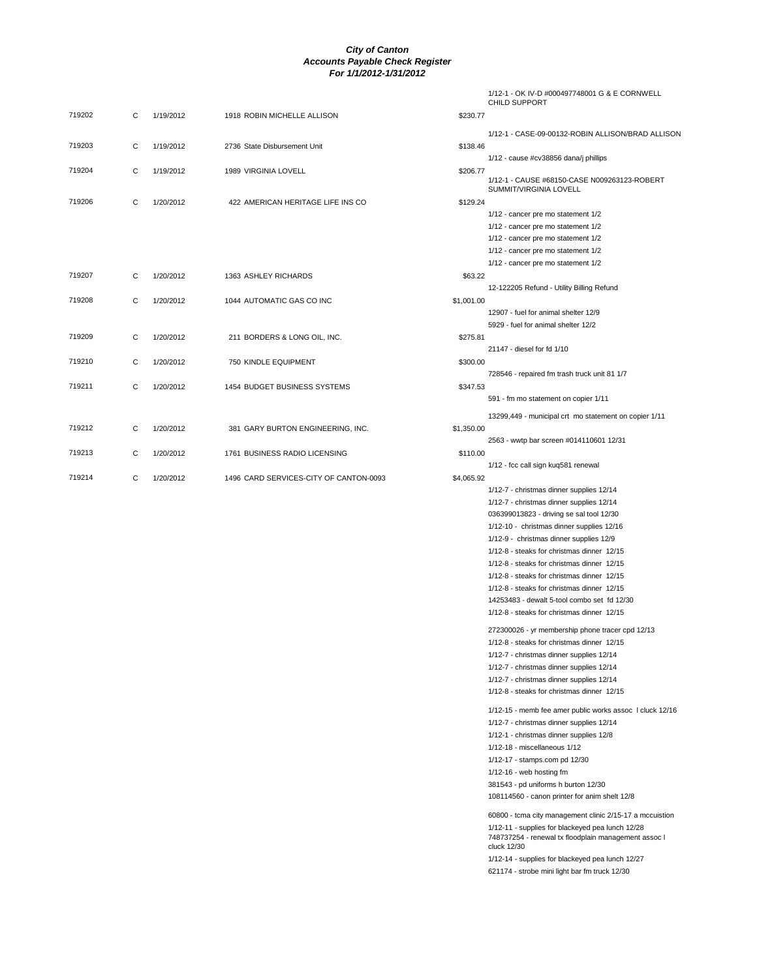|        |   |           |                                        |            | 1/12-1 - OK IV-D #000497748001 G & E CORNWELL<br><b>CHILD SUPPORT</b>                          |
|--------|---|-----------|----------------------------------------|------------|------------------------------------------------------------------------------------------------|
| 719202 | С | 1/19/2012 | 1918 ROBIN MICHELLE ALLISON            | \$230.77   |                                                                                                |
|        |   |           |                                        |            | 1/12-1 - CASE-09-00132-ROBIN ALLISON/BRAD ALLISON                                              |
| 719203 | С | 1/19/2012 | 2736 State Disbursement Unit           | \$138.46   |                                                                                                |
|        |   |           |                                        |            | 1/12 - cause #cv38856 dana/j phillips                                                          |
| 719204 | C | 1/19/2012 | 1989 VIRGINIA LOVELL                   | \$206.77   | 1/12-1 - CAUSE #68150-CASE N009263123-ROBERT                                                   |
|        |   |           |                                        |            | SUMMIT/VIRGINIA LOVELL                                                                         |
| 719206 | С | 1/20/2012 | 422 AMERICAN HERITAGE LIFE INS CO      | \$129.24   |                                                                                                |
|        |   |           |                                        |            | 1/12 - cancer pre mo statement 1/2                                                             |
|        |   |           |                                        |            | 1/12 - cancer pre mo statement 1/2                                                             |
|        |   |           |                                        |            | 1/12 - cancer pre mo statement 1/2<br>1/12 - cancer pre mo statement 1/2                       |
|        |   |           |                                        |            | 1/12 - cancer pre mo statement 1/2                                                             |
| 719207 | С | 1/20/2012 | 1363 ASHLEY RICHARDS                   | \$63.22    |                                                                                                |
|        |   |           |                                        |            | 12-122205 Refund - Utility Billing Refund                                                      |
| 719208 | С | 1/20/2012 | 1044 AUTOMATIC GAS CO INC              | \$1,001.00 |                                                                                                |
|        |   |           |                                        |            | 12907 - fuel for animal shelter 12/9                                                           |
|        |   |           |                                        |            | 5929 - fuel for animal shelter 12/2                                                            |
| 719209 | С | 1/20/2012 | 211 BORDERS & LONG OIL, INC.           | \$275.81   | 21147 - diesel for fd 1/10                                                                     |
| 719210 | С | 1/20/2012 | 750 KINDLE EQUIPMENT                   | \$300.00   |                                                                                                |
|        |   |           |                                        |            | 728546 - repaired fm trash truck unit 81 1/7                                                   |
| 719211 | С | 1/20/2012 | 1454 BUDGET BUSINESS SYSTEMS           | \$347.53   |                                                                                                |
|        |   |           |                                        |            | 591 - fm mo statement on copier 1/11                                                           |
|        |   |           |                                        |            | 13299,449 - municipal crt mo statement on copier 1/11                                          |
| 719212 | С | 1/20/2012 | 381 GARY BURTON ENGINEERING, INC.      | \$1,350.00 |                                                                                                |
|        |   |           |                                        |            | 2563 - wwtp bar screen #014110601 12/31                                                        |
| 719213 | С | 1/20/2012 | 1761 BUSINESS RADIO LICENSING          | \$110.00   |                                                                                                |
|        |   |           |                                        |            | 1/12 - fcc call sign kuq581 renewal                                                            |
| 719214 | С | 1/20/2012 | 1496 CARD SERVICES-CITY OF CANTON-0093 | \$4,065.92 | 1/12-7 - christmas dinner supplies 12/14                                                       |
|        |   |           |                                        |            | 1/12-7 - christmas dinner supplies 12/14                                                       |
|        |   |           |                                        |            | 036399013823 - driving se sal tool 12/30                                                       |
|        |   |           |                                        |            | 1/12-10 - christmas dinner supplies 12/16                                                      |
|        |   |           |                                        |            | 1/12-9 - christmas dinner supplies 12/9                                                        |
|        |   |           |                                        |            | 1/12-8 - steaks for christmas dinner 12/15                                                     |
|        |   |           |                                        |            | 1/12-8 - steaks for christmas dinner 12/15                                                     |
|        |   |           |                                        |            | 1/12-8 - steaks for christmas dinner 12/15                                                     |
|        |   |           |                                        |            | 1/12-8 - steaks for christmas dinner 12/15                                                     |
|        |   |           |                                        |            | 14253483 - dewalt 5-tool combo set fd 12/30<br>1/12-8 - steaks for christmas dinner 12/15      |
|        |   |           |                                        |            |                                                                                                |
|        |   |           |                                        |            | 272300026 - yr membership phone tracer cpd 12/13<br>1/12-8 - steaks for christmas dinner 12/15 |
|        |   |           |                                        |            | 1/12-7 - christmas dinner supplies 12/14                                                       |
|        |   |           |                                        |            | 1/12-7 - christmas dinner supplies 12/14                                                       |
|        |   |           |                                        |            | 1/12-7 - christmas dinner supplies 12/14                                                       |
|        |   |           |                                        |            | 1/12-8 - steaks for christmas dinner 12/15                                                     |
|        |   |           |                                        |            | 1/12-15 - memb fee amer public works assoc I cluck 12/16                                       |
|        |   |           |                                        |            | 1/12-7 - christmas dinner supplies 12/14                                                       |
|        |   |           |                                        |            | 1/12-1 - christmas dinner supplies 12/8                                                        |
|        |   |           |                                        |            | 1/12-18 - miscellaneous 1/12                                                                   |
|        |   |           |                                        |            | 1/12-17 - stamps.com pd 12/30                                                                  |
|        |   |           |                                        |            | $1/12-16$ - web hosting fm                                                                     |
|        |   |           |                                        |            | 381543 - pd uniforms h burton 12/30                                                            |
|        |   |           |                                        |            | 108114560 - canon printer for anim shelt 12/8                                                  |
|        |   |           |                                        |            | 60800 - tcma city management clinic 2/15-17 a mccuistion                                       |
|        |   |           |                                        |            | 1/12-11 - supplies for blackeyed pea lunch 12/28                                               |
|        |   |           |                                        |            | 748737254 - renewal tx floodplain management assoc I<br>cluck 12/30                            |
|        |   |           |                                        |            | 1/12-14 - supplies for blackeyed pea lunch 12/27                                               |
|        |   |           |                                        |            | 621174 - strobe mini light bar fm truck 12/30                                                  |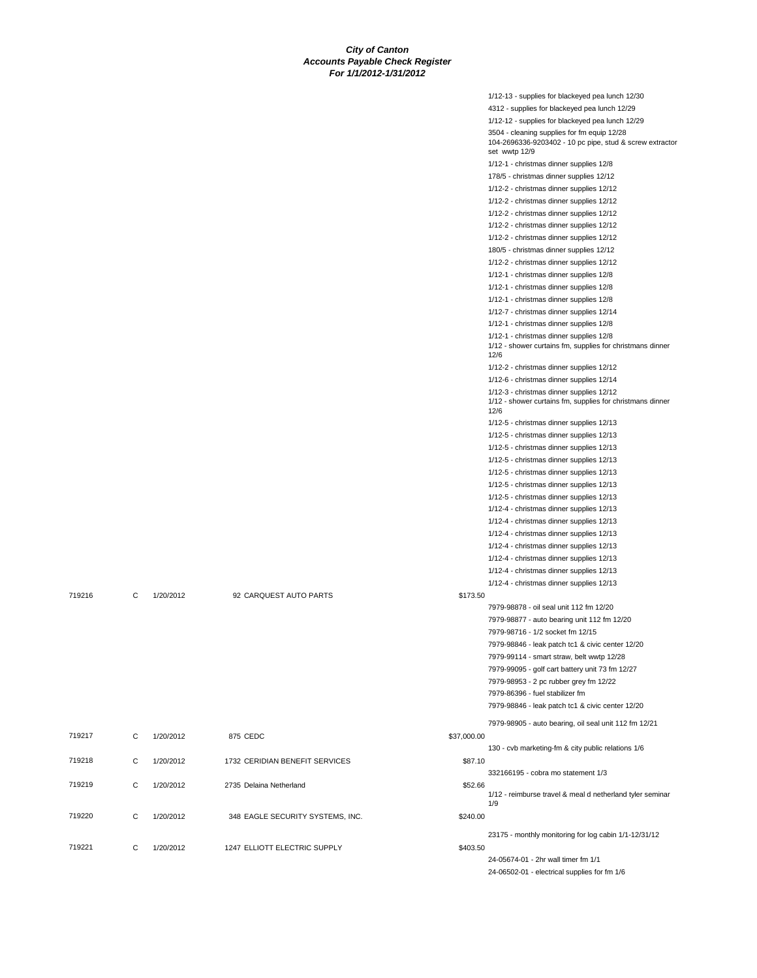|        |   |           |                                  |             | 1/12-13 - supplies for blackeyed pea lunch 12/30                                                              |
|--------|---|-----------|----------------------------------|-------------|---------------------------------------------------------------------------------------------------------------|
|        |   |           |                                  |             | 4312 - supplies for blackeyed pea lunch 12/29                                                                 |
|        |   |           |                                  |             | 1/12-12 - supplies for blackeyed pea lunch 12/29                                                              |
|        |   |           |                                  |             | 3504 - cleaning supplies for fm equip 12/28<br>104-2696336-9203402 - 10 pc pipe, stud & screw extractor       |
|        |   |           |                                  |             | set wwtp 12/9                                                                                                 |
|        |   |           |                                  |             | 1/12-1 - christmas dinner supplies 12/8                                                                       |
|        |   |           |                                  |             | 178/5 - christmas dinner supplies 12/12                                                                       |
|        |   |           |                                  |             | 1/12-2 - christmas dinner supplies 12/12                                                                      |
|        |   |           |                                  |             | 1/12-2 - christmas dinner supplies 12/12                                                                      |
|        |   |           |                                  |             | 1/12-2 - christmas dinner supplies 12/12                                                                      |
|        |   |           |                                  |             | 1/12-2 - christmas dinner supplies 12/12                                                                      |
|        |   |           |                                  |             | 1/12-2 - christmas dinner supplies 12/12                                                                      |
|        |   |           |                                  |             | 180/5 - christmas dinner supplies 12/12                                                                       |
|        |   |           |                                  |             | 1/12-2 - christmas dinner supplies 12/12                                                                      |
|        |   |           |                                  |             | 1/12-1 - christmas dinner supplies 12/8                                                                       |
|        |   |           |                                  |             | 1/12-1 - christmas dinner supplies 12/8                                                                       |
|        |   |           |                                  |             | 1/12-1 - christmas dinner supplies 12/8                                                                       |
|        |   |           |                                  |             | 1/12-7 - christmas dinner supplies 12/14                                                                      |
|        |   |           |                                  |             | 1/12-1 - christmas dinner supplies 12/8                                                                       |
|        |   |           |                                  |             | 1/12-1 - christmas dinner supplies 12/8<br>1/12 - shower curtains fm, supplies for christmans dinner<br>12/6  |
|        |   |           |                                  |             | 1/12-2 - christmas dinner supplies 12/12                                                                      |
|        |   |           |                                  |             | 1/12-6 - christmas dinner supplies 12/14                                                                      |
|        |   |           |                                  |             | 1/12-3 - christmas dinner supplies 12/12<br>1/12 - shower curtains fm, supplies for christmans dinner<br>12/6 |
|        |   |           |                                  |             | 1/12-5 - christmas dinner supplies 12/13                                                                      |
|        |   |           |                                  |             | 1/12-5 - christmas dinner supplies 12/13                                                                      |
|        |   |           |                                  |             | 1/12-5 - christmas dinner supplies 12/13                                                                      |
|        |   |           |                                  |             | 1/12-5 - christmas dinner supplies 12/13                                                                      |
|        |   |           |                                  |             | 1/12-5 - christmas dinner supplies 12/13                                                                      |
|        |   |           |                                  |             | 1/12-5 - christmas dinner supplies 12/13                                                                      |
|        |   |           |                                  |             | 1/12-5 - christmas dinner supplies 12/13                                                                      |
|        |   |           |                                  |             | 1/12-4 - christmas dinner supplies 12/13                                                                      |
|        |   |           |                                  |             | 1/12-4 - christmas dinner supplies 12/13                                                                      |
|        |   |           |                                  |             | 1/12-4 - christmas dinner supplies 12/13                                                                      |
|        |   |           |                                  |             | 1/12-4 - christmas dinner supplies 12/13                                                                      |
|        |   |           |                                  |             | 1/12-4 - christmas dinner supplies 12/13                                                                      |
|        |   |           |                                  |             | 1/12-4 - christmas dinner supplies 12/13                                                                      |
|        |   |           |                                  |             | 1/12-4 - christmas dinner supplies 12/13                                                                      |
| 719216 | С | 1/20/2012 | 92 CARQUEST AUTO PARTS           | \$173.50    |                                                                                                               |
|        |   |           |                                  |             | 7979-98878 - oil seal unit 112 fm 12/20                                                                       |
|        |   |           |                                  |             | 7979-98877 - auto bearing unit 112 fm 12/20                                                                   |
|        |   |           |                                  |             | 7979-98716 - 1/2 socket fm 12/15                                                                              |
|        |   |           |                                  |             | 7979-98846 - leak patch tc1 & civic center 12/20                                                              |
|        |   |           |                                  |             | 7979-99114 - smart straw, belt wwtp 12/28                                                                     |
|        |   |           |                                  |             | 7979-99095 - golf cart battery unit 73 fm 12/27                                                               |
|        |   |           |                                  |             | 7979-98953 - 2 pc rubber grey fm 12/22                                                                        |
|        |   |           |                                  |             | 7979-86396 - fuel stabilizer fm                                                                               |
|        |   |           |                                  |             | 7979-98846 - leak patch tc1 & civic center 12/20                                                              |
|        |   |           |                                  |             |                                                                                                               |
| 719217 | С | 1/20/2012 | 875 CEDC                         | \$37,000.00 | 7979-98905 - auto bearing, oil seal unit 112 fm 12/21                                                         |
|        |   |           |                                  |             | 130 - cvb marketing-fm & city public relations 1/6                                                            |
| 719218 | С | 1/20/2012 | 1732 CERIDIAN BENEFIT SERVICES   | \$87.10     |                                                                                                               |
|        |   |           |                                  |             | 332166195 - cobra mo statement 1/3                                                                            |
| 719219 | C | 1/20/2012 | 2735 Delaina Netherland          | \$52.66     | 1/12 - reimburse travel & meal d netherland tyler seminar<br>1/9                                              |
| 719220 | С | 1/20/2012 | 348 EAGLE SECURITY SYSTEMS, INC. | \$240.00    |                                                                                                               |
|        |   |           |                                  |             |                                                                                                               |
| 719221 | С | 1/20/2012 | 1247 ELLIOTT ELECTRIC SUPPLY     | \$403.50    | 23175 - monthly monitoring for log cabin 1/1-12/31/12                                                         |
|        |   |           |                                  |             | 24-05674-01 - 2hr wall timer fm 1/1                                                                           |
|        |   |           |                                  |             | 24-06502-01 - electrical supplies for fm 1/6                                                                  |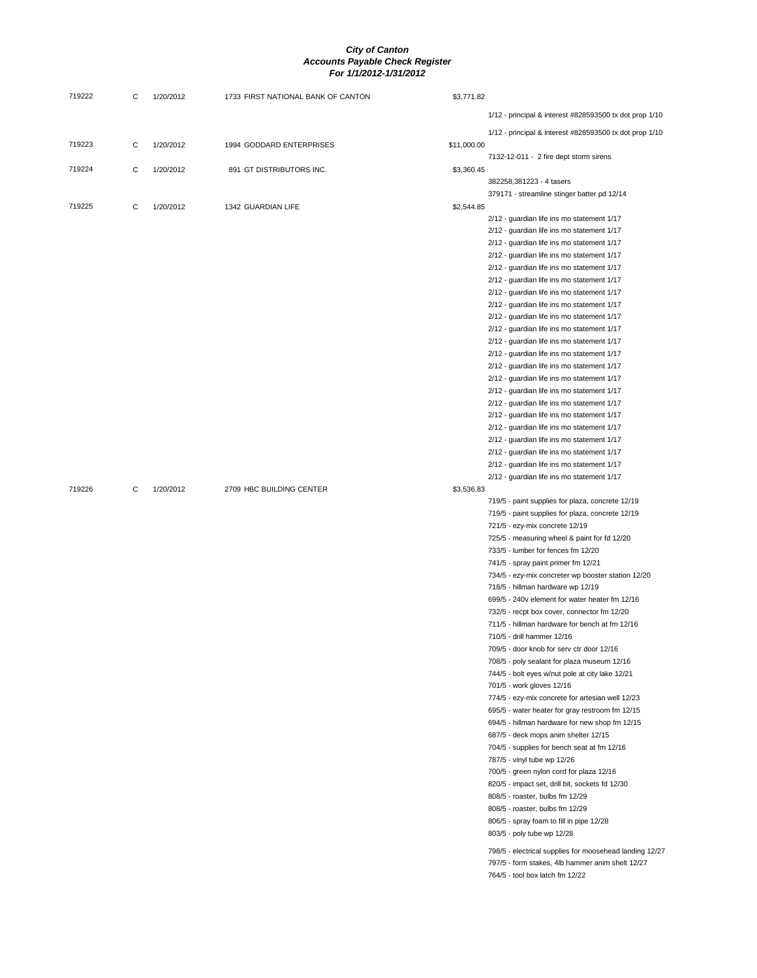| 719222 | С | 1/20/2012 | 1733 FIRST NATIONAL BANK OF CANTON | \$3,771.82  |                                                                                          |
|--------|---|-----------|------------------------------------|-------------|------------------------------------------------------------------------------------------|
|        |   |           |                                    |             | 1/12 - principal & interest #828593500 tx dot prop 1/10                                  |
|        |   |           |                                    |             |                                                                                          |
| 719223 | С | 1/20/2012 | 1994 GODDARD ENTERPRISES           | \$11,000.00 | 1/12 - principal & interest #828593500 tx dot prop 1/10                                  |
|        |   |           |                                    |             | 7132-12-011 - 2 fire dept storm sirens                                                   |
| 719224 | С | 1/20/2012 | 891 GT DISTRIBUTORS INC.           | \$3,360.45  |                                                                                          |
|        |   |           |                                    |             | 382258,381223 - 4 tasers                                                                 |
|        |   |           |                                    |             | 379171 - streamline stinger batter pd 12/14                                              |
| 719225 | С | 1/20/2012 | 1342 GUARDIAN LIFE                 | \$2,544.85  |                                                                                          |
|        |   |           |                                    |             | 2/12 - guardian life ins mo statement 1/17                                               |
|        |   |           |                                    |             | 2/12 - guardian life ins mo statement 1/17                                               |
|        |   |           |                                    |             | 2/12 - guardian life ins mo statement 1/17                                               |
|        |   |           |                                    |             | 2/12 - guardian life ins mo statement 1/17                                               |
|        |   |           |                                    |             | 2/12 - guardian life ins mo statement 1/17                                               |
|        |   |           |                                    |             | 2/12 - guardian life ins mo statement 1/17                                               |
|        |   |           |                                    |             | 2/12 - guardian life ins mo statement 1/17                                               |
|        |   |           |                                    |             | 2/12 - guardian life ins mo statement 1/17                                               |
|        |   |           |                                    |             | 2/12 - guardian life ins mo statement 1/17                                               |
|        |   |           |                                    |             | 2/12 - guardian life ins mo statement 1/17                                               |
|        |   |           |                                    |             | 2/12 - guardian life ins mo statement 1/17                                               |
|        |   |           |                                    |             | 2/12 - guardian life ins mo statement 1/17                                               |
|        |   |           |                                    |             | 2/12 - guardian life ins mo statement 1/17<br>2/12 - guardian life ins mo statement 1/17 |
|        |   |           |                                    |             | 2/12 - guardian life ins mo statement 1/17                                               |
|        |   |           |                                    |             | 2/12 - guardian life ins mo statement 1/17                                               |
|        |   |           |                                    |             | 2/12 - guardian life ins mo statement 1/17                                               |
|        |   |           |                                    |             | 2/12 - guardian life ins mo statement 1/17                                               |
|        |   |           |                                    |             | 2/12 - guardian life ins mo statement 1/17                                               |
|        |   |           |                                    |             | 2/12 - guardian life ins mo statement 1/17                                               |
|        |   |           |                                    |             | 2/12 - guardian life ins mo statement 1/17                                               |
|        |   |           |                                    |             | 2/12 - guardian life ins mo statement 1/17                                               |
| 719226 | С | 1/20/2012 | 2709 HBC BUILDING CENTER           | \$3,536.83  |                                                                                          |
|        |   |           |                                    |             | 719/5 - paint supplies for plaza, concrete 12/19                                         |
|        |   |           |                                    |             | 719/5 - paint supplies for plaza, concrete 12/19                                         |
|        |   |           |                                    |             | 721/5 - ezy-mix concrete 12/19                                                           |
|        |   |           |                                    |             | 725/5 - measuring wheel & paint for fd 12/20                                             |
|        |   |           |                                    |             | 733/5 - lumber for fences fm 12/20                                                       |
|        |   |           |                                    |             | 741/5 - spray paint primer fm 12/21                                                      |
|        |   |           |                                    |             | 734/5 - ezy-mix concreter wp booster station 12/20                                       |
|        |   |           |                                    |             | 718/5 - hillman hardware wp 12/19                                                        |
|        |   |           |                                    |             | 699/5 - 240v element for water heater fm 12/16                                           |
|        |   |           |                                    |             | 732/5 - recpt box cover, connector fm 12/20                                              |
|        |   |           |                                    |             | 711/5 - hillman hardware for bench at fm 12/16                                           |
|        |   |           |                                    |             | 710/5 - drill hammer 12/16                                                               |
|        |   |           |                                    |             | 709/5 - door knob for serv ctr door 12/16<br>708/5 - poly sealant for plaza museum 12/16 |
|        |   |           |                                    |             | 744/5 - bolt eyes w/nut pole at city lake 12/21                                          |
|        |   |           |                                    |             | 701/5 - work gloves 12/16                                                                |
|        |   |           |                                    |             | 774/5 - ezy-mix concrete for artesian well 12/23                                         |
|        |   |           |                                    |             | 695/5 - water heater for gray restroom fm 12/15                                          |
|        |   |           |                                    |             | 694/5 - hillman hardware for new shop fm 12/15                                           |
|        |   |           |                                    |             | 687/5 - deck mops anim shelter 12/15                                                     |
|        |   |           |                                    |             | 704/5 - supplies for bench seat at fm 12/16                                              |
|        |   |           |                                    |             | 787/5 - vinyl tube wp 12/26                                                              |
|        |   |           |                                    |             | 700/5 - green nylon cord for plaza 12/16                                                 |
|        |   |           |                                    |             | 820/5 - impact set, drill bit, sockets fd 12/30                                          |
|        |   |           |                                    |             | 808/5 - roaster, bulbs fm 12/29                                                          |
|        |   |           |                                    |             | 808/5 - roaster, bulbs fm 12/29                                                          |
|        |   |           |                                    |             | 806/5 - spray foam to fill in pipe 12/28                                                 |
|        |   |           |                                    |             | 803/5 - poly tube wp 12/28                                                               |
|        |   |           |                                    |             | 798/5 - electrical supplies for moosehead landing 12/27                                  |
|        |   |           |                                    |             | 797/5 - form stakes, 4lb hammer anim shelt 12/27                                         |
|        |   |           |                                    |             | 764/5 - tool box latch fm 12/22                                                          |
|        |   |           |                                    |             |                                                                                          |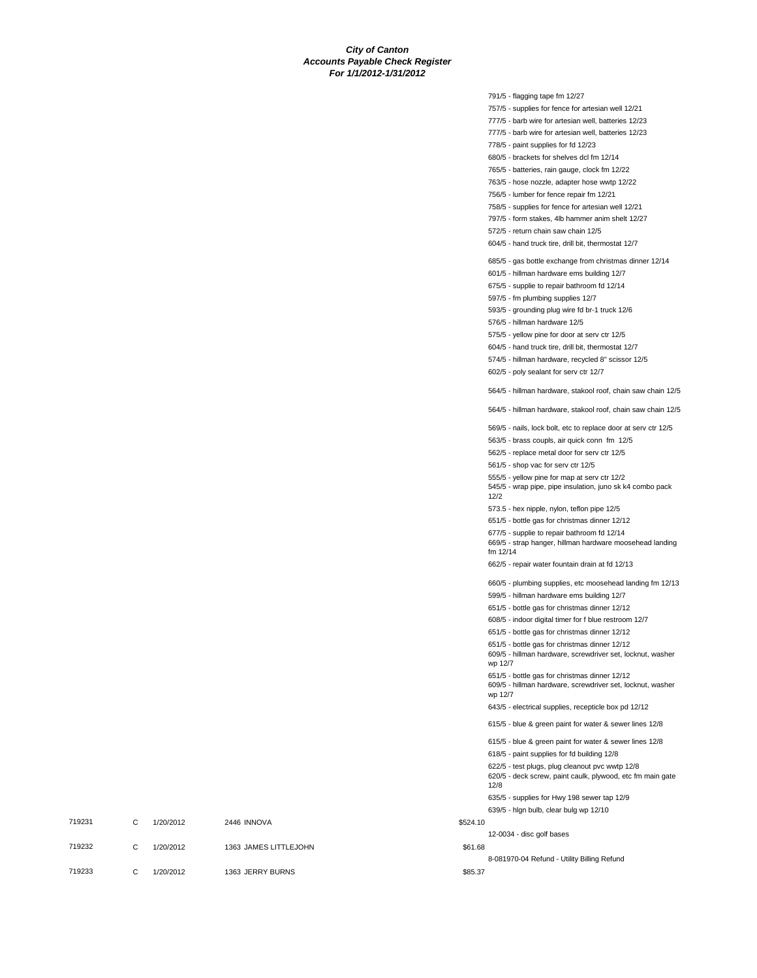791/5 - flagging tape fm 12/27

757/5 - supplies for fence for artesian well 12/21 777/5 - barb wire for artesian well, batteries 12/23 777/5 - barb wire for artesian well, batteries 12/23

778/5 - paint supplies for fd 12/23 680/5 - brackets for shelves dcl fm 12/14 765/5 - batteries, rain gauge, clock fm 12/22 763/5 - hose nozzle, adapter hose wwtp 12/22 756/5 - lumber for fence repair fm 12/21 758/5 - supplies for fence for artesian well 12/21 797/5 - form stakes, 4lb hammer anim shelt 12/27 572/5 - return chain saw chain 12/5 604/5 - hand truck tire, drill bit, thermostat 12/7 685/5 - gas bottle exchange from christmas dinner 12/14 601/5 - hillman hardware ems building 12/7 675/5 - supplie to repair bathroom fd 12/14 597/5 - fm plumbing supplies 12/7 593/5 - grounding plug wire fd br-1 truck 12/6 576/5 - hillman hardware 12/5 575/5 - yellow pine for door at serv ctr 12/5 604/5 - hand truck tire, drill bit, thermostat 12/7 574/5 - hillman hardware, recycled 8" scissor 12/5 602/5 - poly sealant for serv ctr 12/7 564/5 - hillman hardware, stakool roof, chain saw chain 12/5 564/5 - hillman hardware, stakool roof, chain saw chain 12/5 569/5 - nails, lock bolt, etc to replace door at serv ctr 12/5 563/5 - brass coupls, air quick conn fm 12/5 562/5 - replace metal door for serv ctr 12/5 561/5 - shop vac for serv ctr 12/5 555/5 - yellow pine for map at serv ctr 12/2 545/5 - wrap pipe, pipe insulation, juno sk k4 combo pack 12/2 573.5 - hex nipple, nylon, teflon pipe 12/5 651/5 - bottle gas for christmas dinner 12/12 677/5 - supplie to repair bathroom fd 12/14 669/5 - strap hanger, hillman hardware moosehead landing fm 12/14 662/5 - repair water fountain drain at fd 12/13 660/5 - plumbing supplies, etc moosehead landing fm 12/13 599/5 - hillman hardware ems building 12/7 651/5 - bottle gas for christmas dinner 12/12 608/5 - indoor digital timer for f blue restroom 12/7 651/5 - bottle gas for christmas dinner 12/12 651/5 - bottle gas for christmas dinner 12/12 609/5 - hillman hardware, screwdriver set, locknut, washer wp 12/7 651/5 - bottle gas for christmas dinner 12/12 609/5 - hillman hardware, screwdriver set, locknut, washer wp 12/7 643/5 - electrical supplies, recepticle box pd 12/12 615/5 - blue & green paint for water & sewer lines 12/8 615/5 - blue & green paint for water & sewer lines 12/8 618/5 - paint supplies for fd building 12/8 622/5 - test plugs, plug cleanout pvc wwtp 12/8 620/5 - deck screw, paint caulk, plywood, etc fm main gate 12/8 635/5 - supplies for Hwy 198 sewer tap 12/9 639/5 - hlgn bulb, clear bulg wp 12/10 719231 C 1/20/2012 2446 INNOVA \$524.10 12-0034 - disc golf bases 719232 C 1/20/2012 1363 JAMES LITTLEJOHN \$61.68 8-081970-04 Refund - Utility Billing Refund 719233 C 1/20/2012 1363 JERRY BURNS \$85.37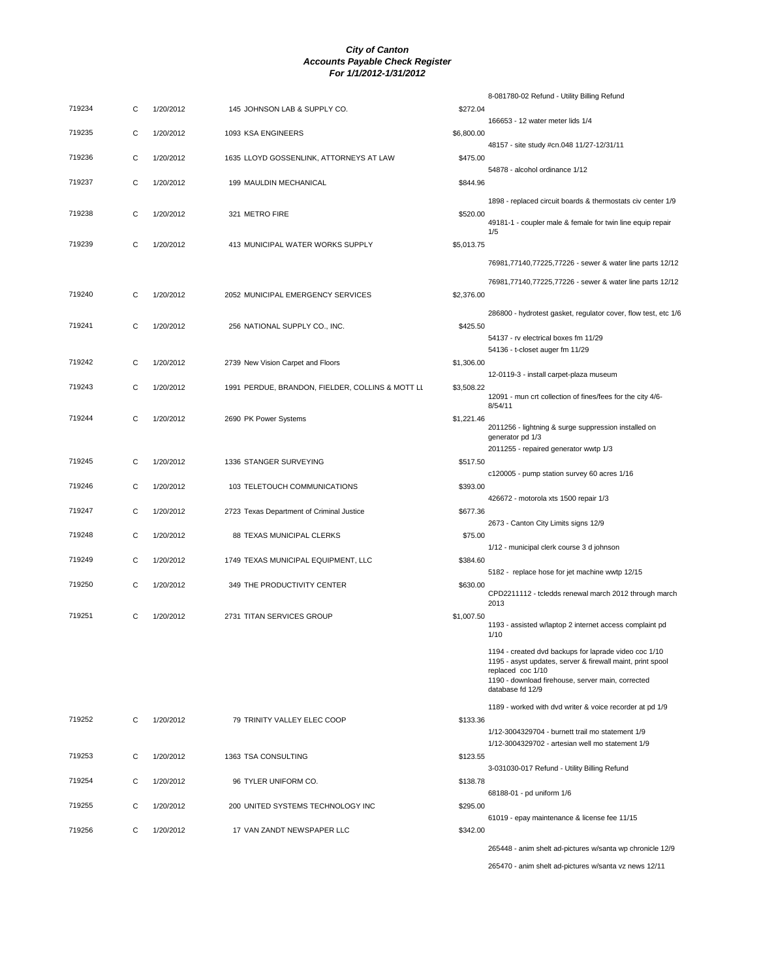|        |   |           |                                                  |            | 8-081780-02 Refund - Utility Billing Refund                                                                                                                                                                       |
|--------|---|-----------|--------------------------------------------------|------------|-------------------------------------------------------------------------------------------------------------------------------------------------------------------------------------------------------------------|
| 719234 | С | 1/20/2012 | 145 JOHNSON LAB & SUPPLY CO.                     | \$272.04   | 166653 - 12 water meter lids 1/4                                                                                                                                                                                  |
| 719235 | C | 1/20/2012 | 1093 KSA ENGINEERS                               | \$6,800.00 | 48157 - site study #cn.048 11/27-12/31/11                                                                                                                                                                         |
| 719236 | С | 1/20/2012 | 1635 LLOYD GOSSENLINK, ATTORNEYS AT LAW          | \$475.00   |                                                                                                                                                                                                                   |
| 719237 | С | 1/20/2012 | 199 MAULDIN MECHANICAL                           | \$844.96   | 54878 - alcohol ordinance 1/12                                                                                                                                                                                    |
|        |   |           |                                                  |            | 1898 - replaced circuit boards & thermostats civ center 1/9                                                                                                                                                       |
| 719238 | С | 1/20/2012 | 321 METRO FIRE                                   | \$520.00   | 49181-1 - coupler male & female for twin line equip repair                                                                                                                                                        |
| 719239 | C | 1/20/2012 | 413 MUNICIPAL WATER WORKS SUPPLY                 | \$5,013.75 | 1/5                                                                                                                                                                                                               |
|        |   |           |                                                  |            | 76981,77140,77225,77226 - sewer & water line parts 12/12                                                                                                                                                          |
|        |   |           |                                                  |            | 76981,77140,77225,77226 - sewer & water line parts 12/12                                                                                                                                                          |
| 719240 | С | 1/20/2012 | 2052 MUNICIPAL EMERGENCY SERVICES                | \$2,376.00 |                                                                                                                                                                                                                   |
| 719241 | C | 1/20/2012 | 256 NATIONAL SUPPLY CO., INC.                    | \$425.50   | 286800 - hydrotest gasket, regulator cover, flow test, etc 1/6                                                                                                                                                    |
|        |   |           |                                                  |            | 54137 - rv electrical boxes fm 11/29<br>54136 - t-closet auger fm 11/29                                                                                                                                           |
| 719242 | С | 1/20/2012 | 2739 New Vision Carpet and Floors                | \$1,306.00 |                                                                                                                                                                                                                   |
| 719243 | С | 1/20/2012 | 1991 PERDUE, BRANDON, FIELDER, COLLINS & MOTT LL | \$3,508.22 | 12-0119-3 - install carpet-plaza museum                                                                                                                                                                           |
|        |   |           |                                                  |            | 12091 - mun crt collection of fines/fees for the city 4/6-<br>8/54/11                                                                                                                                             |
| 719244 | С | 1/20/2012 | 2690 PK Power Systems                            | \$1,221.46 | 2011256 - lightning & surge suppression installed on<br>generator pd 1/3                                                                                                                                          |
| 719245 | С | 1/20/2012 | 1336 STANGER SURVEYING                           | \$517.50   | 2011255 - repaired generator wwtp 1/3                                                                                                                                                                             |
|        |   |           |                                                  |            | c120005 - pump station survey 60 acres 1/16                                                                                                                                                                       |
| 719246 | C | 1/20/2012 | 103 TELETOUCH COMMUNICATIONS                     | \$393.00   | 426672 - motorola xts 1500 repair 1/3                                                                                                                                                                             |
| 719247 | C | 1/20/2012 | 2723 Texas Department of Criminal Justice        | \$677.36   | 2673 - Canton City Limits signs 12/9                                                                                                                                                                              |
| 719248 | С | 1/20/2012 | 88 TEXAS MUNICIPAL CLERKS                        | \$75.00    |                                                                                                                                                                                                                   |
| 719249 | C | 1/20/2012 | 1749 TEXAS MUNICIPAL EQUIPMENT, LLC              | \$384.60   | 1/12 - municipal clerk course 3 d johnson                                                                                                                                                                         |
| 719250 | C | 1/20/2012 | 349 THE PRODUCTIVITY CENTER                      | \$630.00   | 5182 - replace hose for jet machine wwtp 12/15                                                                                                                                                                    |
|        |   |           |                                                  |            | CPD2211112 - tcledds renewal march 2012 through march<br>2013                                                                                                                                                     |
| 719251 | С | 1/20/2012 | 2731 TITAN SERVICES GROUP                        | \$1,007.50 | 1193 - assisted w/laptop 2 internet access complaint pd<br>1/10                                                                                                                                                   |
|        |   |           |                                                  |            | 1194 - created dvd backups for laprade video coc 1/10<br>1195 - asyst updates, server & firewall maint, print spool<br>replaced coc 1/10<br>1190 - download firehouse, server main, corrected<br>database fd 12/9 |
|        |   |           |                                                  |            | 1189 - worked with dvd writer & voice recorder at pd 1/9                                                                                                                                                          |
| 719252 | C | 1/20/2012 | 79 TRINITY VALLEY ELEC COOP                      | \$133.36   |                                                                                                                                                                                                                   |
|        |   |           |                                                  |            | 1/12-3004329704 - burnett trail mo statement 1/9<br>1/12-3004329702 - artesian well mo statement 1/9                                                                                                              |
| 719253 | C | 1/20/2012 | 1363 TSA CONSULTING                              | \$123.55   | 3-031030-017 Refund - Utility Billing Refund                                                                                                                                                                      |
| 719254 | С | 1/20/2012 | 96 TYLER UNIFORM CO.                             | \$138.78   | 68188-01 - pd uniform 1/6                                                                                                                                                                                         |
| 719255 | C | 1/20/2012 | 200 UNITED SYSTEMS TECHNOLOGY INC                | \$295.00   |                                                                                                                                                                                                                   |
| 719256 | C | 1/20/2012 | 17 VAN ZANDT NEWSPAPER LLC                       | \$342.00   | 61019 - epay maintenance & license fee 11/15                                                                                                                                                                      |
|        |   |           |                                                  |            | 265448 - anim shelt ad-pictures w/santa wp chronicle 12/9                                                                                                                                                         |

265470 - anim shelt ad-pictures w/santa vz news 12/11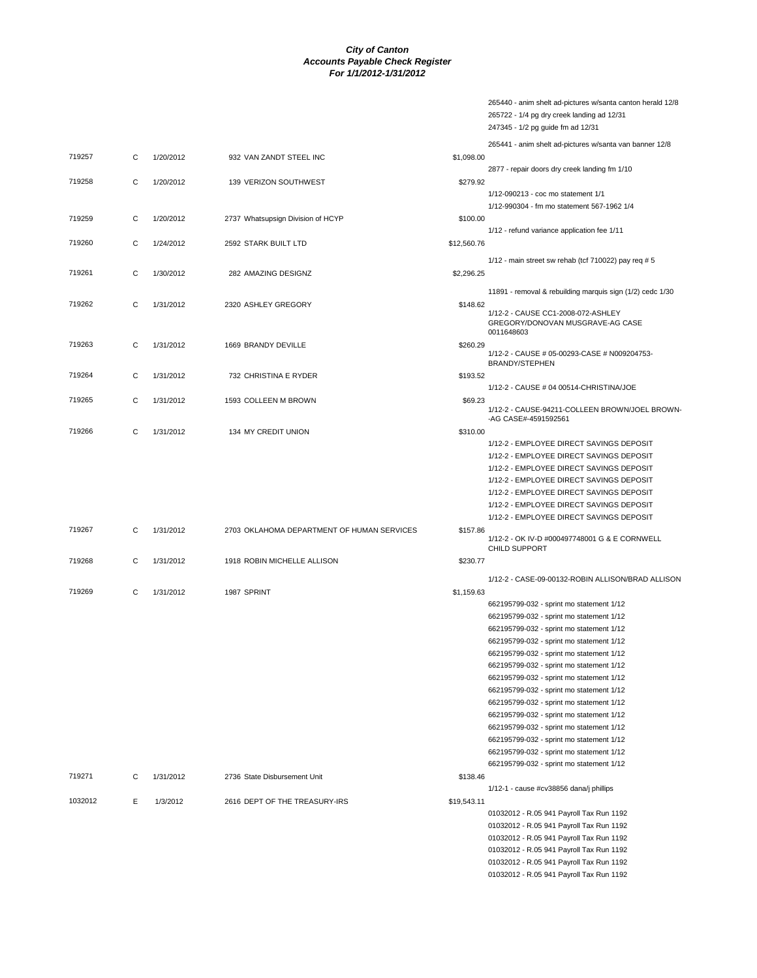|         |   |           |                                            |             | 265440 - anim shelt ad-pictures w/santa canton herald 12/8<br>265722 - 1/4 pg dry creek landing ad 12/31<br>247345 - 1/2 pg guide fm ad 12/31 |
|---------|---|-----------|--------------------------------------------|-------------|-----------------------------------------------------------------------------------------------------------------------------------------------|
|         |   |           |                                            |             | 265441 - anim shelt ad-pictures w/santa van banner 12/8                                                                                       |
| 719257  | C | 1/20/2012 | 932 VAN ZANDT STEEL INC                    | \$1,098.00  |                                                                                                                                               |
|         |   |           |                                            |             | 2877 - repair doors dry creek landing fm 1/10                                                                                                 |
| 719258  | C | 1/20/2012 | 139 VERIZON SOUTHWEST                      | \$279.92    |                                                                                                                                               |
|         |   |           |                                            |             | 1/12-090213 - coc mo statement 1/1                                                                                                            |
|         |   |           |                                            |             | 1/12-990304 - fm mo statement 567-1962 1/4                                                                                                    |
| 719259  | С | 1/20/2012 | 2737 Whatsupsign Division of HCYP          | \$100.00    |                                                                                                                                               |
|         |   |           |                                            |             | 1/12 - refund variance application fee 1/11                                                                                                   |
| 719260  | C | 1/24/2012 | 2592 STARK BUILT LTD                       | \$12,560.76 |                                                                                                                                               |
|         |   |           |                                            |             | 1/12 - main street sw rehab (tcf 710022) pay req $# 5$                                                                                        |
| 719261  | C | 1/30/2012 | 282 AMAZING DESIGNZ                        | \$2,296.25  |                                                                                                                                               |
|         |   |           |                                            |             | 11891 - removal & rebuilding marquis sign (1/2) cedc 1/30                                                                                     |
| 719262  | C | 1/31/2012 | 2320 ASHLEY GREGORY                        | \$148.62    |                                                                                                                                               |
|         |   |           |                                            |             | 1/12-2 - CAUSE CC1-2008-072-ASHLEY<br>GREGORY/DONOVAN MUSGRAVE-AG CASE<br>0011648603                                                          |
| 719263  | С | 1/31/2012 | 1669 BRANDY DEVILLE                        | \$260.29    |                                                                                                                                               |
|         |   |           |                                            |             | 1/12-2 - CAUSE # 05-00293-CASE # N009204753-<br><b>BRANDY/STEPHEN</b>                                                                         |
| 719264  | С | 1/31/2012 | 732 CHRISTINA E RYDER                      | \$193.52    |                                                                                                                                               |
|         |   |           |                                            |             | 1/12-2 - CAUSE # 04 00514-CHRISTINA/JOE                                                                                                       |
| 719265  | С | 1/31/2012 | 1593 COLLEEN M BROWN                       | \$69.23     |                                                                                                                                               |
|         |   |           |                                            |             | 1/12-2 - CAUSE-94211-COLLEEN BROWN/JOEL BROWN<br>-AG CASE#-4591592561                                                                         |
| 719266  | С | 1/31/2012 | 134 MY CREDIT UNION                        | \$310.00    |                                                                                                                                               |
|         |   |           |                                            |             | 1/12-2 - EMPLOYEE DIRECT SAVINGS DEPOSIT                                                                                                      |
|         |   |           |                                            |             | 1/12-2 - EMPLOYEE DIRECT SAVINGS DEPOSIT                                                                                                      |
|         |   |           |                                            |             | 1/12-2 - EMPLOYEE DIRECT SAVINGS DEPOSIT                                                                                                      |
|         |   |           |                                            |             | 1/12-2 - EMPLOYEE DIRECT SAVINGS DEPOSIT                                                                                                      |
|         |   |           |                                            |             | 1/12-2 - EMPLOYEE DIRECT SAVINGS DEPOSIT                                                                                                      |
|         |   |           |                                            |             | 1/12-2 - EMPLOYEE DIRECT SAVINGS DEPOSIT                                                                                                      |
|         |   |           |                                            |             | 1/12-2 - EMPLOYEE DIRECT SAVINGS DEPOSIT                                                                                                      |
| 719267  | C | 1/31/2012 | 2703 OKLAHOMA DEPARTMENT OF HUMAN SERVICES | \$157.86    | 1/12-2 - OK IV-D #000497748001 G & E CORNWELL                                                                                                 |
|         |   |           |                                            |             | CHILD SUPPORT                                                                                                                                 |
| 719268  | С | 1/31/2012 | 1918 ROBIN MICHELLE ALLISON                | \$230.77    |                                                                                                                                               |
|         |   |           |                                            |             | 1/12-2 - CASE-09-00132-ROBIN ALLISON/BRAD ALLISON                                                                                             |
| 719269  | С | 1/31/2012 | 1987 SPRINT                                | \$1,159.63  |                                                                                                                                               |
|         |   |           |                                            |             | 662195799-032 - sprint mo statement 1/12                                                                                                      |
|         |   |           |                                            |             | 662195799-032 - sprint mo statement 1/12                                                                                                      |
|         |   |           |                                            |             | 662195799-032 - sprint mo statement 1/12                                                                                                      |
|         |   |           |                                            |             | 662195799-032 - sprint mo statement 1/12                                                                                                      |
|         |   |           |                                            |             | 662195799-032 - sprint mo statement 1/12                                                                                                      |
|         |   |           |                                            |             | 662195799-032 - sprint mo statement 1/12                                                                                                      |
|         |   |           |                                            |             | 662195799-032 - sprint mo statement 1/12                                                                                                      |
|         |   |           |                                            |             | 662195799-032 - sprint mo statement 1/12                                                                                                      |
|         |   |           |                                            |             | 662195799-032 - sprint mo statement 1/12                                                                                                      |
|         |   |           |                                            |             | 662195799-032 - sprint mo statement 1/12                                                                                                      |
|         |   |           |                                            |             | 662195799-032 - sprint mo statement 1/12                                                                                                      |
|         |   |           |                                            |             | 662195799-032 - sprint mo statement 1/12                                                                                                      |
|         |   |           |                                            |             | 662195799-032 - sprint mo statement 1/12                                                                                                      |
|         |   |           |                                            |             | 662195799-032 - sprint mo statement 1/12                                                                                                      |
| 719271  | С | 1/31/2012 | 2736 State Disbursement Unit               | \$138.46    |                                                                                                                                               |
| 1032012 |   |           | 2616 DEPT OF THE TREASURY-IRS              |             | 1/12-1 - cause #cv38856 dana/j phillips                                                                                                       |
|         | Е | 1/3/2012  |                                            | \$19,543.11 | 01032012 - R.05 941 Payroll Tax Run 1192                                                                                                      |
|         |   |           |                                            |             | 01032012 - R.05 941 Payroll Tax Run 1192                                                                                                      |
|         |   |           |                                            |             | 01032012 - R.05 941 Payroll Tax Run 1192                                                                                                      |
|         |   |           |                                            |             | 01032012 - R.05 941 Payroll Tax Run 1192                                                                                                      |
|         |   |           |                                            |             | 01032012 - R.05 941 Payroll Tax Run 1192                                                                                                      |
|         |   |           |                                            |             |                                                                                                                                               |

01032012 - R.05 941 Payroll Tax Run 1192